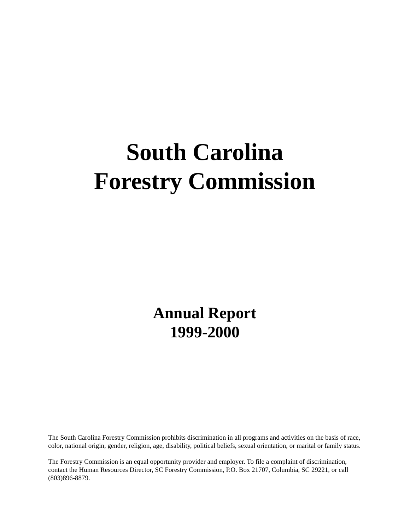# **South Carolina Forestry Commission**

**Annual Report 1999-2000** 

The South Carolina Forestry Commission prohibits discrimination in all programs and activities on the basis of race, color, national origin, gender, religion, age, disability, political beliefs, sexual orientation, or marital or family status.

The Forestry Commission is an equal opportunity provider and employer. To file a complaint of discrimination, contact the Human Resources Director, SC Forestry Commission, P.O. Box 21707, Columbia, SC 29221, or call (803)896-8879.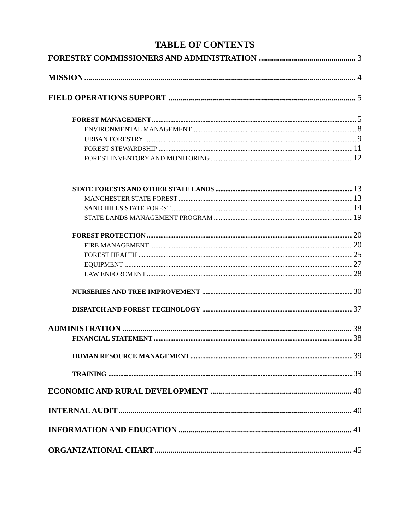# **TABLE OF CONTENTS**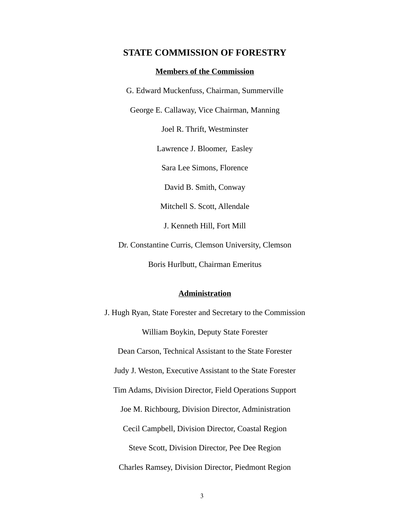# <span id="page-2-0"></span>**STATE COMMISSION OF FORESTRY**

#### **Members of the Commission**

G. Edward Muckenfuss, Chairman, Summerville

George E. Callaway, Vice Chairman, Manning

Joel R. Thrift, Westminster

Lawrence J. Bloomer, Easley

Sara Lee Simons, Florence

David B. Smith, Conway

Mitchell S. Scott, Allendale

J. Kenneth Hill, Fort Mill

Dr. Constantine Curris, Clemson University, Clemson

Boris Hurlbutt, Chairman Emeritus

### **Administration**

J. Hugh Ryan, State Forester and Secretary to the Commission William Boykin, Deputy State Forester Dean Carson, Technical Assistant to the State Forester Judy J. Weston, Executive Assistant to the State Forester Tim Adams, Division Director, Field Operations Support Joe M. Richbourg, Division Director, Administration Cecil Campbell, Division Director, Coastal Region Steve Scott, Division Director, Pee Dee Region Charles Ramsey, Division Director, Piedmont Region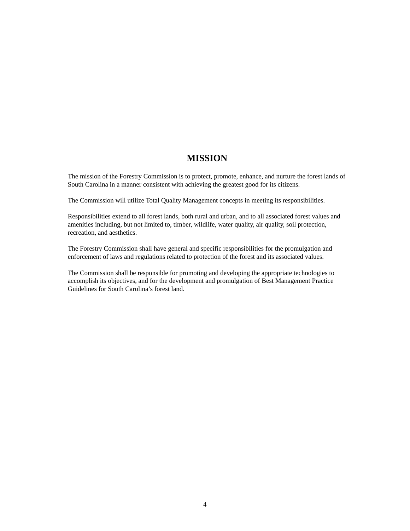# **MISSION**

<span id="page-3-0"></span>The mission of the Forestry Commission is to protect, promote, enhance, and nurture the forest lands of South Carolina in a manner consistent with achieving the greatest good for its citizens.

The Commission will utilize Total Quality Management concepts in meeting its responsibilities.

Responsibilities extend to all forest lands, both rural and urban, and to all associated forest values and amenities including, but not limited to, timber, wildlife, water quality, air quality, soil protection, recreation, and aesthetics.

The Forestry Commission shall have general and specific responsibilities for the promulgation and enforcement of laws and regulations related to protection of the forest and its associated values.

The Commission shall be responsible for promoting and developing the appropriate technologies to accomplish its objectives, and for the development and promulgation of Best Management Practice Guidelines for South Carolina's forest land.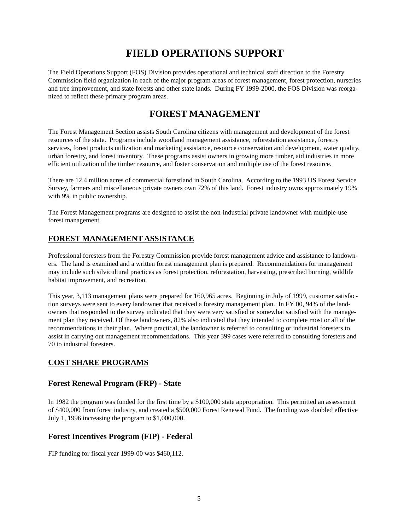# **FIELD OPERATIONS SUPPORT**

<span id="page-4-0"></span>The Field Operations Support (FOS) Division provides operational and technical staff direction to the Forestry Commission field organization in each of the major program areas of forest management, forest protection, nurseries and tree improvement, and state forests and other state lands. During FY 1999-2000, the FOS Division was reorganized to reflect these primary program areas.

# **FOREST MANAGEMENT**

The Forest Management Section assists South Carolina citizens with management and development of the forest resources of the state. Programs include woodland management assistance, reforestation assistance, forestry services, forest products utilization and marketing assistance, resource conservation and development, water quality, urban forestry, and forest inventory. These programs assist owners in growing more timber, aid industries in more efficient utilization of the timber resource, and foster conservation and multiple use of the forest resource.

There are 12.4 million acres of commercial forestland in South Carolina. According to the 1993 US Forest Service Survey, farmers and miscellaneous private owners own 72% of this land. Forest industry owns approximately 19% with 9% in public ownership.

The Forest Management programs are designed to assist the non-industrial private landowner with multiple-use forest management.

# **FOREST MANAGEMENT ASSISTANCE**

Professional foresters from the Forestry Commission provide forest management advice and assistance to landowners. The land is examined and a written forest management plan is prepared. Recommendations for management may include such silvicultural practices as forest protection, reforestation, harvesting, prescribed burning, wildlife habitat improvement, and recreation.

This year, 3,113 management plans were prepared for 160,965 acres. Beginning in July of 1999, customer satisfaction surveys were sent to every landowner that received a forestry management plan. In FY 00, 94% of the landowners that responded to the survey indicated that they were very satisfied or somewhat satisfied with the management plan they received. Of these landowners, 82% also indicated that they intended to complete most or all of the recommendations in their plan. Where practical, the landowner is referred to consulting or industrial foresters to assist in carrying out management recommendations. This year 399 cases were referred to consulting foresters and 70 to industrial foresters.

# **COST SHARE PROGRAMS**

# **Forest Renewal Program (FRP) - State**

In 1982 the program was funded for the first time by a \$100,000 state appropriation. This permitted an assessment of \$400,000 from forest industry, and created a \$500,000 Forest Renewal Fund. The funding was doubled effective July 1, 1996 increasing the program to \$1,000,000.

# **Forest Incentives Program (FIP) - Federal**

FIP funding for fiscal year 1999-00 was \$460,112.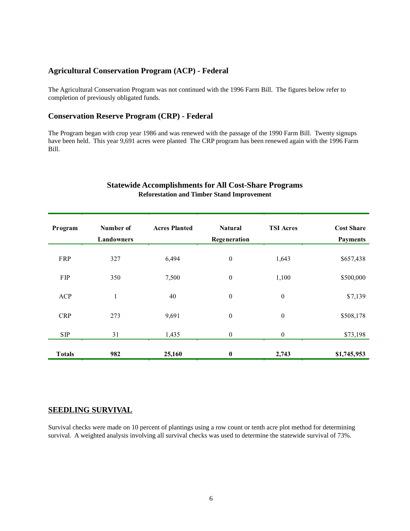# **Agricultural Conservation Program (ACP) - Federal**

The Agricultural Conservation Program was not continued with the 1996 Farm Bill. The figures below refer to completion of previously obligated funds.

# **Conservation Reserve Program (CRP) - Federal**

The Program began with crop year 1986 and was renewed with the passage of the 1990 Farm Bill. Twenty signups have been held. This year 9,691 acres were planted The CRP program has been renewed again with the 1996 Farm Bill.

#### **Statewide Accomplishments for All Cost-Share Programs Reforestation and Timber Stand Improvement**

| Program       | Number of<br>Landowners | <b>Acres Planted</b> | <b>Natural</b><br>Regeneration | <b>TSI Acres</b> | <b>Cost Share</b><br><b>Payments</b> |
|---------------|-------------------------|----------------------|--------------------------------|------------------|--------------------------------------|
| FRP           | 327                     | 6,494                | $\boldsymbol{0}$               | 1,643            | \$657,438                            |
| FIP           | 350                     | 7,500                | $\boldsymbol{0}$               | 1,100            | \$500,000                            |
| <b>ACP</b>    | $\mathbf{1}$            | 40                   | $\boldsymbol{0}$               | $\boldsymbol{0}$ | \$7,139                              |
| <b>CRP</b>    | 273                     | 9,691                | $\boldsymbol{0}$               | $\boldsymbol{0}$ | \$508,178                            |
| ${\bf SIP}$   | 31                      | 1,435                | $\boldsymbol{0}$               | $\boldsymbol{0}$ | \$73,198                             |
| <b>Totals</b> | 982                     | 25,160               | $\bf{0}$                       | 2,743            | \$1,745,953                          |

### **SEEDLING SURVIVAL**

Survival checks were made on 10 percent of plantings using a row count or tenth acre plot method for determining survival. A weighted analysis involving all survival checks was used to determine the statewide survival of 73%.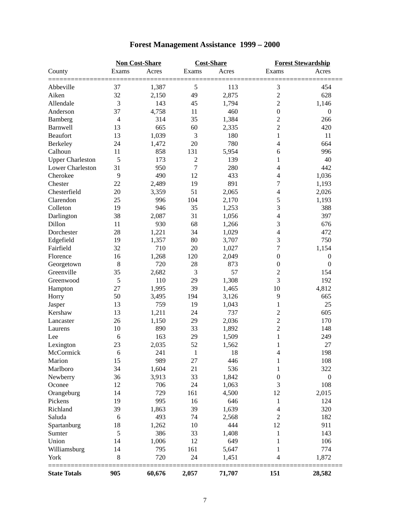|                         |                | <b>Cost-Share</b><br><b>Non Cost-Share</b> |                |        | <b>Forest Stewardship</b> |                  |  |
|-------------------------|----------------|--------------------------------------------|----------------|--------|---------------------------|------------------|--|
| County                  | Exams          | Acres                                      | Exams          | Acres  | Exams                     | Acres            |  |
| Abbeville               | 37             | 1,387                                      | 5              | 113    | 3                         | 454              |  |
| Aiken                   | 32             | 2,150                                      | 49             | 2,875  | $\overline{c}$            | 628              |  |
| Allendale               | 3              | 143                                        | 45             | 1,794  | $\overline{c}$            | 1,146            |  |
| Anderson                | 37             | 4,758                                      | 11             | 460    | $\boldsymbol{0}$          | $\theta$         |  |
| Bamberg                 | $\overline{4}$ | 314                                        | 35             | 1,384  | $\overline{c}$            | 266              |  |
| <b>Barnwell</b>         | 13             | 665                                        | 60             | 2,335  | $\overline{c}$            | 420              |  |
| Beaufort                | 13             | 1,039                                      | 3              | 180    | 1                         | 11               |  |
| Berkeley                | 24             | 1,472                                      | 20             | 780    | $\overline{4}$            | 664              |  |
| Calhoun                 | 11             | 858                                        | 131            | 5,954  | 6                         | 996              |  |
| <b>Upper Charleston</b> | 5              | 173                                        | $\overline{c}$ | 139    | 1                         | 40               |  |
| Lower Charleston        | 31             | 950                                        | 7              | 280    | 4                         | 442              |  |
| Cherokee                | 9              | 490                                        | 12             | 433    | 4                         | 1,036            |  |
| Chester                 | 22             | 2,489                                      | 19             | 891    | 7                         | 1,193            |  |
| Chesterfield            | 20             | 3,359                                      | 51             | 2,065  | $\overline{\mathcal{L}}$  | 2,026            |  |
| Clarendon               | 25             | 996                                        | 104            | 2,170  | 5                         | 1,193            |  |
| Colleton                | 19             | 946                                        | 35             | 1,253  | 3                         | 388              |  |
| Darlington              | 38             | 2,087                                      | 31             | 1,056  | 4                         | 397              |  |
| Dillon                  | 11             | 930                                        | 68             | 1,266  | 3                         | 676              |  |
| Dorchester              | 28             | 1,221                                      | 34             | 1,029  | 4                         | 472              |  |
| Edgefield               | 19             | 1,357                                      | 80             | 3,707  | 3                         | 750              |  |
| Fairfield               | 32             | 710                                        | 20             | 1,027  | 7                         | 1,154            |  |
| Florence                | 16             | 1,268                                      | 120            | 2,049  | $\boldsymbol{0}$          | $\boldsymbol{0}$ |  |
| Georgetown              | $\,8\,$        | 720                                        | 28             | 873    | $\boldsymbol{0}$          | $\boldsymbol{0}$ |  |
| Greenville              | 35             | 2,682                                      | 3              | 57     | $\overline{c}$            | 154              |  |
| Greenwood               | 5              | 110                                        | 29             | 1,308  | 3                         | 192              |  |
| Hampton                 | 27             | 1,995                                      | 39             | 1,465  | 10                        | 4,812            |  |
| Horry                   | 50             | 3,495                                      | 194            | 3,126  | 9                         | 665              |  |
| Jasper                  | 13             | 759                                        | 19             | 1,043  | $\mathbf{1}$              | 25               |  |
| Kershaw                 | 13             | 1,211                                      | 24             | 737    | $\overline{c}$            | 605              |  |
| Lancaster               | 26             | 1,150                                      | 29             | 2,036  | $\overline{c}$            | 170              |  |
| Laurens                 | 10             | 890                                        | 33             | 1,892  | $\overline{c}$            | 148              |  |
| Lee                     | 6              | 163                                        | 29             | 1,509  | $\mathbf{1}$              | 249              |  |
| Lexington               | 23             | 2,035                                      | 52             | 1,562  | 1                         | 27               |  |
| McCormick               | 6              | 241                                        | $\mathbf{1}$   | 18     | 4                         | 198              |  |
| Marion                  | 15             | 989                                        | 27             | 446    | $\mathbf{1}$              | 108              |  |
| Marlboro                | 34             | 1,604                                      | 21             | 536    | 1                         | 322              |  |
| Newberry                | 36             | 3,913                                      | 33             | 1,842  | $\boldsymbol{0}$          | $\boldsymbol{0}$ |  |
| Oconee                  | 12             | 706                                        | 24             | 1,063  | 3                         | 108              |  |
| Orangeburg              | 14             | 729                                        | 161            | 4,500  | 12                        | 2,015            |  |
| Pickens                 | 19             | 995                                        | 16             | 646    | 1                         | 124              |  |
| Richland                | 39             | 1,863                                      | 39             | 1,639  | $\overline{\mathcal{L}}$  | 320              |  |
| Saluda                  | 6              | 493                                        | 74             | 2,568  | $\overline{c}$            | 182              |  |
| Spartanburg             | 18             | 1,262                                      | 10             | 444    | 12                        | 911              |  |
| Sumter                  | 5              | 386                                        | 33             | 1,408  | 1                         | 143              |  |
| Union                   | 14             | 1,006                                      | 12             | 649    | 1                         | 106              |  |
|                         | 14             | 795                                        | 161            | 5,647  | 1                         | 774              |  |
| Williamsburg<br>York    | $8\,$          | 720                                        | 24             | 1,451  | $\overline{4}$            | 1,872            |  |
| <b>State Totals</b>     | 905            | 60,676                                     | 2,057          | 71,707 | 151                       | 28,582           |  |
|                         |                |                                            |                |        |                           |                  |  |

# **Forest Management Assistance 1999 – 2000**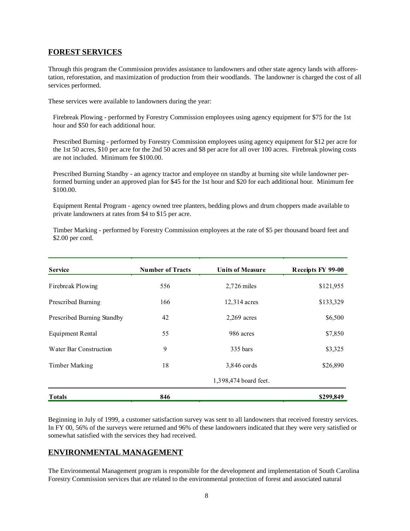# **FOREST SERVICES**

Through this program the Commission provides assistance to landowners and other state agency lands with afforestation, reforestation, and maximization of production from their woodlands. The landowner is charged the cost of all services performed.

These services were available to landowners during the year:

Firebreak Plowing - performed by Forestry Commission employees using agency equipment for \$75 for the 1st hour and \$50 for each additional hour.

Prescribed Burning - performed by Forestry Commission employees using agency equipment for \$12 per acre for the 1st 50 acres, \$10 per acre for the 2nd 50 acres and \$8 per acre for all over 100 acres. Firebreak plowing costs are not included. Minimum fee \$100.00.

Prescribed Burning Standby - an agency tractor and employee on standby at burning site while landowner performed burning under an approved plan for \$45 for the 1st hour and \$20 for each additional hour. Minimum fee \$100.00.

Equipment Rental Program - agency owned tree planters, bedding plows and drum choppers made available to private landowners at rates from \$4 to \$15 per acre.

Timber Marking - performed by Forestry Commission employees at the rate of \$5 per thousand board feet and \$2.00 per cord.

| <b>Service</b>             | <b>Number of Tracts</b> | <b>Units of Measure</b> | Receipts FY 99-00 |
|----------------------------|-------------------------|-------------------------|-------------------|
| Firebreak Plowing          | 556                     | $2,726$ miles           | \$121,955         |
| Prescribed Burning         | 166                     | 12,314 acres            | \$133,329         |
| Prescribed Burning Standby | 42                      | $2,269$ acres           | \$6,500           |
| <b>Equipment Rental</b>    | 55                      | 986 acres               | \$7,850           |
| Water Bar Construction     | 9                       | 335 bars                | \$3,325           |
| <b>Timber Marking</b>      | 18                      | 3,846 cords             | \$26,890          |
|                            |                         | 1,398,474 board feet.   |                   |
| <b>Totals</b>              | 846                     |                         | \$299,849         |

Beginning in July of 1999, a customer satisfaction survey was sent to all landowners that received forestry services. In FY 00, 56% of the surveys were returned and 96% of these landowners indicated that they were very satisfied or somewhat satisfied with the services they had received.

# **ENVIRONMENTAL MANAGEMENT**

The Environmental Management program is responsible for the development and implementation of South Carolina Forestry Commission services that are related to the environmental protection of forest and associated natural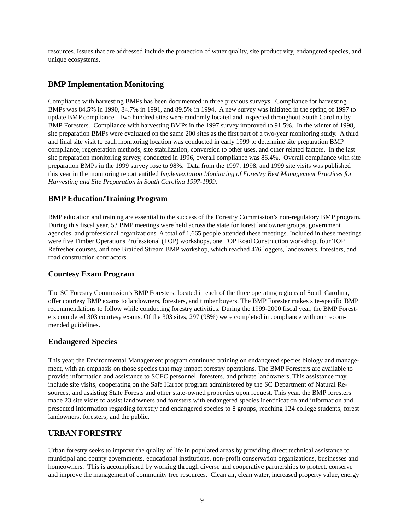<span id="page-8-0"></span>resources. Issues that are addressed include the protection of water quality, site productivity, endangered species, and unique ecosystems.

# **BMP Implementation Monitoring**

Compliance with harvesting BMPs has been documented in three previous surveys. Compliance for harvesting BMPs was 84.5% in 1990, 84.7% in 1991, and 89.5% in 1994. A new survey was initiated in the spring of 1997 to update BMP compliance. Two hundred sites were randomly located and inspected throughout South Carolina by BMP Foresters. Compliance with harvesting BMPs in the 1997 survey improved to 91.5%. In the winter of 1998, site preparation BMPs were evaluated on the same 200 sites as the first part of a two-year monitoring study. A third and final site visit to each monitoring location was conducted in early 1999 to determine site preparation BMP compliance, regeneration methods, site stabilization, conversion to other uses, and other related factors. In the last site preparation monitoring survey, conducted in 1996, overall compliance was 86.4%. Overall compliance with site preparation BMPs in the 1999 survey rose to 98%. Data from the 1997, 1998, and 1999 site visits was published this year in the monitoring report entitled *Implementation Monitoring of Forestry Best Management Practices for Harvesting and Site Preparation in South Carolina 1997-1999.* 

# **BMP Education/Training Program**

BMP education and training are essential to the success of the Forestry Commission's non-regulatory BMP program. During this fiscal year, 53 BMP meetings were held across the state for forest landowner groups, government agencies, and professional organizations. A total of 1,665 people attended these meetings. Included in these meetings were five Timber Operations Professional (TOP) workshops, one TOP Road Construction workshop, four TOP Refresher courses, and one Braided Stream BMP workshop, which reached 476 loggers, landowners, foresters, and road construction contractors.

# **Courtesy Exam Program**

The SC Forestry Commission's BMP Foresters, located in each of the three operating regions of South Carolina, offer courtesy BMP exams to landowners, foresters, and timber buyers. The BMP Forester makes site-specific BMP recommendations to follow while conducting forestry activities. During the 1999-2000 fiscal year, the BMP Foresters completed 303 courtesy exams. Of the 303 sites, 297 (98%) were completed in compliance with our recommended guidelines.

# **Endangered Species**

This year, the Environmental Management program continued training on endangered species biology and management, with an emphasis on those species that may impact forestry operations. The BMP Foresters are available to provide information and assistance to SCFC personnel, foresters, and private landowners. This assistance may include site visits, cooperating on the Safe Harbor program administered by the SC Department of Natural Resources, and assisting State Forests and other state-owned properties upon request. This year, the BMP foresters made 23 site visits to assist landowners and foresters with endangered species identification and information and presented information regarding forestry and endangered species to 8 groups, reaching 124 college students, forest landowners, foresters, and the public.

# **URBAN FORESTRY**

Urban forestry seeks to improve the quality of life in populated areas by providing direct technical assistance to municipal and county governments, educational institutions, non-profit conservation organizations, businesses and homeowners. This is accomplished by working through diverse and cooperative partnerships to protect, conserve and improve the management of community tree resources. Clean air, clean water, increased property value, energy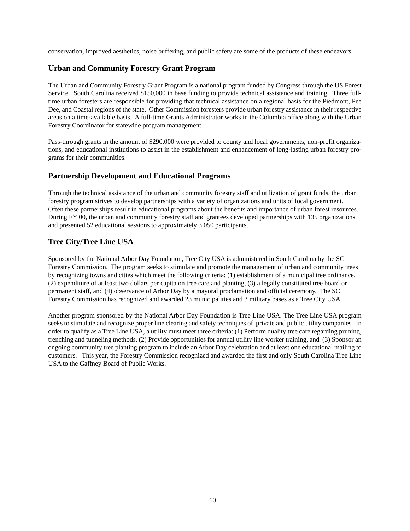conservation, improved aesthetics, noise buffering, and public safety are some of the products of these endeavors.

# **Urban and Community Forestry Grant Program**

The Urban and Community Forestry Grant Program is a national program funded by Congress through the US Forest Service. South Carolina received \$150,000 in base funding to provide technical assistance and training. Three fulltime urban foresters are responsible for providing that technical assistance on a regional basis for the Piedmont, Pee Dee, and Coastal regions of the state. Other Commission foresters provide urban forestry assistance in their respective areas on a time-available basis. A full-time Grants Administrator works in the Columbia office along with the Urban Forestry Coordinator for statewide program management.

Pass-through grants in the amount of \$290,000 were provided to county and local governments, non-profit organizations, and educational institutions to assist in the establishment and enhancement of long-lasting urban forestry programs for their communities.

# **Partnership Development and Educational Programs**

Through the technical assistance of the urban and community forestry staff and utilization of grant funds, the urban forestry program strives to develop partnerships with a variety of organizations and units of local government. Often these partnerships result in educational programs about the benefits and importance of urban forest resources. During FY 00, the urban and community forestry staff and grantees developed partnerships with 135 organizations and presented 52 educational sessions to approximately 3,050 participants.

# **Tree City/Tree Line USA**

Sponsored by the National Arbor Day Foundation, Tree City USA is administered in South Carolina by the SC Forestry Commission. The program seeks to stimulate and promote the management of urban and community trees by recognizing towns and cities which meet the following criteria: (1) establishment of a municipal tree ordinance, (2) expenditure of at least two dollars per capita on tree care and planting, (3) a legally constituted tree board or permanent staff, and (4) observance of Arbor Day by a mayoral proclamation and official ceremony. The SC Forestry Commission has recognized and awarded 23 municipalities and 3 military bases as a Tree City USA.

Another program sponsored by the National Arbor Day Foundation is Tree Line USA. The Tree Line USA program seeks to stimulate and recognize proper line clearing and safety techniques of private and public utility companies. In order to qualify as a Tree Line USA, a utility must meet three criteria: (1) Perform quality tree care regarding pruning, trenching and tunneling methods, (2) Provide opportunities for annual utility line worker training, and (3) Sponsor an ongoing community tree planting program to include an Arbor Day celebration and at least one educational mailing to customers. This year, the Forestry Commission recognized and awarded the first and only South Carolina Tree Line USA to the Gaffney Board of Public Works.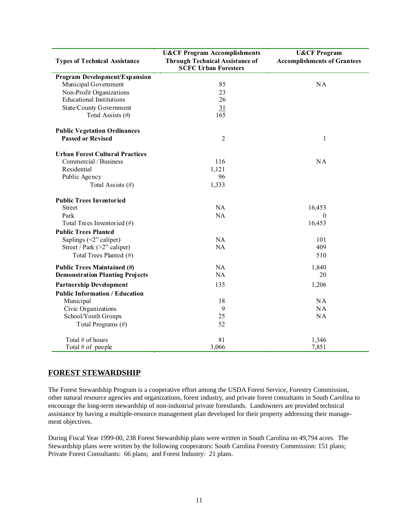|                                        | <b>U&amp;CF Program Accomplishments</b>                               | <b>U&amp;CF Program</b>            |
|----------------------------------------|-----------------------------------------------------------------------|------------------------------------|
| <b>Types of Technical Assistance</b>   | <b>Through Technical Assistance of</b><br><b>SCFC Urban Foresters</b> | <b>Accomplishments of Grantees</b> |
| Program Development/Expansion          |                                                                       |                                    |
| Municipal Government                   | 85                                                                    | <b>NA</b>                          |
| Non-Profit Organizations               | 23                                                                    |                                    |
| <b>Educational Institutions</b>        | 26                                                                    |                                    |
| State/County Government                | 31                                                                    |                                    |
| Total Assists (#)                      | 165                                                                   |                                    |
| <b>Public Vegetation Ordinances</b>    |                                                                       |                                    |
| <b>Passed or Revised</b>               | $\overline{c}$                                                        | 1                                  |
| <b>Urban Forest Cultural Practices</b> |                                                                       |                                    |
| Commercial / Business                  | 116                                                                   | NA                                 |
| Residential                            | 1,121                                                                 |                                    |
| Public Agency                          | 96                                                                    |                                    |
| Total Assists (#)                      | 1,333                                                                 |                                    |
| <b>Public Trees Inventoried</b>        |                                                                       |                                    |
| <b>Street</b>                          | NA                                                                    | 16,453                             |
| Park                                   | <b>NA</b>                                                             | $\overline{0}$                     |
| Total Trees Inventoried (#)            |                                                                       | 16,453                             |
| <b>Public Trees Planted</b>            |                                                                       |                                    |
| Saplings $(\leq 2$ " caliper)          | NA                                                                    | 101                                |
| Street / Park $(>2$ " caliper)         | NA                                                                    | 409                                |
| Total Trees Planted (#)                |                                                                       | 510                                |
| <b>Public Trees Maintained (#)</b>     | NA                                                                    | 1,840                              |
| <b>Demonstration Planting Projects</b> | <b>NA</b>                                                             | 20                                 |
| <b>Partnership Development</b>         | 135                                                                   | 1,206                              |
| <b>Public Information / Education</b>  |                                                                       |                                    |
| Municipal                              | 18                                                                    | NA                                 |
| Civic Organizations                    | 9                                                                     | <b>NA</b>                          |
| School/Youth Groups                    | $\frac{25}{52}$                                                       | NA                                 |
| Total Programs (#)                     |                                                                       |                                    |
| Total # of hours                       | 81                                                                    | 1,346                              |
| Total # of people                      | 3,066                                                                 | 7,851                              |

# **FOREST STEWARDSHIP**

The Forest Stewardship Program is a cooperative effort among the USDA Forest Service, Forestry Commission, other natural resource agencies and organizations, forest industry, and private forest consultants in South Carolina to encourage the long-term stewardship of non-industrial private forestlands. Landowners are provided technical assistance by having a multiple-resource management plan developed for their property addressing their management objectives.

During Fiscal Year 1999-00, 238 Forest Stewardship plans were written in South Carolina on 49,794 acres. The Stewardship plans were written by the following cooperators: South Carolina Forestry Commission: 151 plans; Private Forest Consultants: 66 plans; and Forest Industry: 21 plans.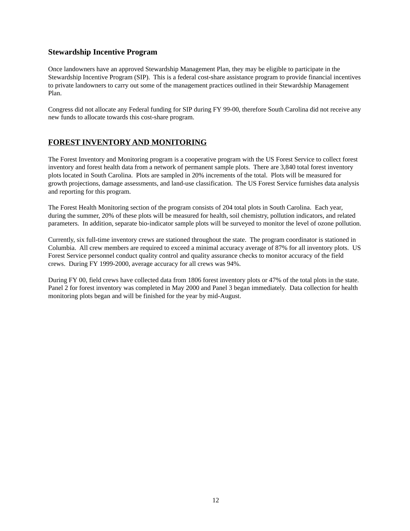# <span id="page-11-0"></span>**Stewardship Incentive Program**

Once landowners have an approved Stewardship Management Plan, they may be eligible to participate in the Stewardship Incentive Program (SIP). This is a federal cost-share assistance program to provide financial incentives to private landowners to carry out some of the management practices outlined in their Stewardship Management Plan.

Congress did not allocate any Federal funding for SIP during FY 99-00, therefore South Carolina did not receive any new funds to allocate towards this cost-share program.

# **FOREST INVENTORY AND MONITORING**

The Forest Inventory and Monitoring program is a cooperative program with the US Forest Service to collect forest inventory and forest health data from a network of permanent sample plots. There are 3,840 total forest inventory plots located in South Carolina. Plots are sampled in 20% increments of the total. Plots will be measured for growth projections, damage assessments, and land-use classification. The US Forest Service furnishes data analysis and reporting for this program.

The Forest Health Monitoring section of the program consists of 204 total plots in South Carolina. Each year, during the summer, 20% of these plots will be measured for health, soil chemistry, pollution indicators, and related parameters. In addition, separate bio-indicator sample plots will be surveyed to monitor the level of ozone pollution.

Currently, six full-time inventory crews are stationed throughout the state. The program coordinator is stationed in Columbia. All crew members are required to exceed a minimal accuracy average of 87% for all inventory plots. US Forest Service personnel conduct quality control and quality assurance checks to monitor accuracy of the field crews. During FY 1999-2000, average accuracy for all crews was 94%.

During FY 00, field crews have collected data from 1806 forest inventory plots or 47% of the total plots in the state. Panel 2 for forest inventory was completed in May 2000 and Panel 3 began immediately. Data collection for health monitoring plots began and will be finished for the year by mid-August.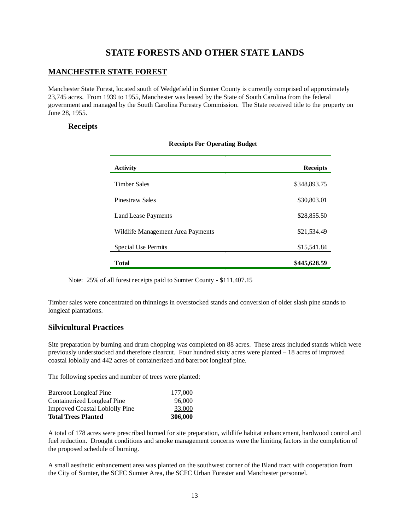# **STATE FORESTS AND OTHER STATE LANDS**

# **MANCHESTER STATE FOREST**

Manchester State Forest, located south of Wedgefield in Sumter County is currently comprised of approximately 23,745 acres. From 1939 to 1955, Manchester was leased by the State of South Carolina from the federal government and managed by the South Carolina Forestry Commission. The State received title to the property on June 28, 1955.

# **Receipts**

| Activity                          | <b>Receipts</b> |
|-----------------------------------|-----------------|
| <b>Timber Sales</b>               | \$348,893.75    |
| <b>Pinestraw Sales</b>            | \$30,803.01     |
| Land Lease Payments               | \$28,855.50     |
| Wildlife Management Area Payments | \$21,534.49     |
| Special Use Permits               | \$15,541.84     |
| Total                             | \$445,628.59    |

|  | <b>Receipts For Operating Budget</b> |  |
|--|--------------------------------------|--|
|  |                                      |  |

Note: 25% of all forest receipts paid to Sumter County - \$111,407.15

Timber sales were concentrated on thinnings in overstocked stands and conversion of older slash pine stands to longleaf plantations.

### **Silvicultural Practices**

Site preparation by burning and drum chopping was completed on 88 acres. These areas included stands which were previously understocked and therefore clearcut. Four hundred sixty acres were planted – 18 acres of improved coastal loblolly and 442 acres of containerized and bareroot longleaf pine.

The following species and number of trees were planted:

| <b>Bareroot Longleaf Pine</b>         | 177,000 |
|---------------------------------------|---------|
| Containerized Longleaf Pine           | 96,000  |
| <b>Improved Coastal Loblolly Pine</b> | 33,000  |
| <b>Total Trees Planted</b>            | 306,000 |

A total of 178 acres were prescribed burned for site preparation, wildlife habitat enhancement, hardwood control and fuel reduction. Drought conditions and smoke management concerns were the limiting factors in the completion of the proposed schedule of burning.

A small aesthetic enhancement area was planted on the southwest corner of the Bland tract with cooperation from the City of Sumter, the SCFC Sumter Area, the SCFC Urban Forester and Manchester personnel.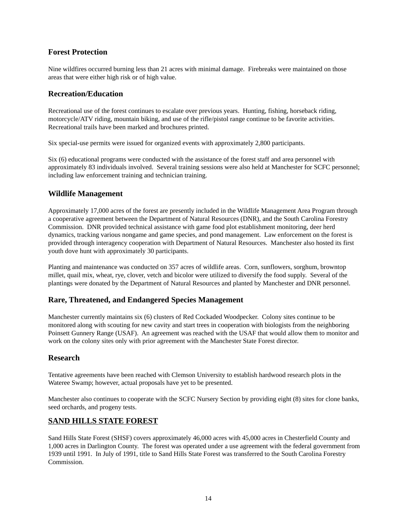# <span id="page-13-0"></span>**Forest Protection**

Nine wildfires occurred burning less than 21 acres with minimal damage. Firebreaks were maintained on those areas that were either high risk or of high value.

# **Recreation/Education**

Recreational use of the forest continues to escalate over previous years. Hunting, fishing, horseback riding, motorcycle/ATV riding, mountain biking, and use of the rifle/pistol range continue to be favorite activities. Recreational trails have been marked and brochures printed.

Six special-use permits were issued for organized events with approximately 2,800 participants.

Six (6) educational programs were conducted with the assistance of the forest staff and area personnel with approximately 83 individuals involved. Several training sessions were also held at Manchester for SCFC personnel; including law enforcement training and technician training.

### **Wildlife Management**

Approximately 17,000 acres of the forest are presently included in the Wildlife Management Area Program through a cooperative agreement between the Department of Natural Resources (DNR), and the South Carolina Forestry Commission. DNR provided technical assistance with game food plot establishment monitoring, deer herd dynamics, tracking various nongame and game species, and pond management. Law enforcement on the forest is provided through interagency cooperation with Department of Natural Resources. Manchester also hosted its first youth dove hunt with approximately 30 participants.

Planting and maintenance was conducted on 357 acres of wildlife areas. Corn, sunflowers, sorghum, browntop millet, quail mix, wheat, rye, clover, vetch and bicolor were utilized to diversify the food supply. Several of the plantings were donated by the Department of Natural Resources and planted by Manchester and DNR personnel.

### **Rare, Threatened, and Endangered Species Management**

Manchester currently maintains six (6) clusters of Red Cockaded Woodpecker. Colony sites continue to be monitored along with scouting for new cavity and start trees in cooperation with biologists from the neighboring Poinsett Gunnery Range (USAF). An agreement was reached with the USAF that would allow them to monitor and work on the colony sites only with prior agreement with the Manchester State Forest director.

### **Research**

Tentative agreements have been reached with Clemson University to establish hardwood research plots in the Wateree Swamp; however, actual proposals have yet to be presented.

Manchester also continues to cooperate with the SCFC Nursery Section by providing eight (8) sites for clone banks, seed orchards, and progeny tests.

### **SAND HILLS STATE FOREST**

Sand Hills State Forest (SHSF) covers approximately 46,000 acres with 45,000 acres in Chesterfield County and 1,000 acres in Darlington County. The forest was operated under a use agreement with the federal government from 1939 until 1991. In July of 1991, title to Sand Hills State Forest was transferred to the South Carolina Forestry Commission.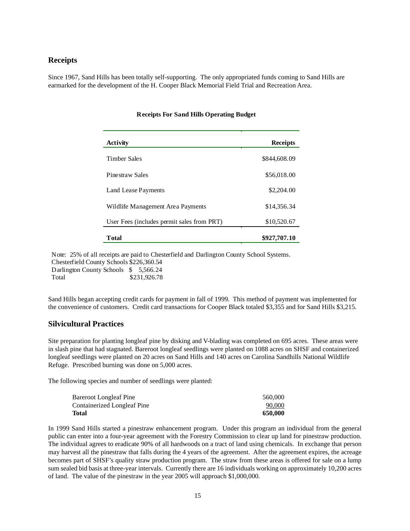#### **Receipts**

Since 1967, Sand Hills has been totally self-supporting. The only appropriated funds coming to Sand Hills are earmarked for the development of the H. Cooper Black Memorial Field Trial and Recreation Area.

| Activity                                   | <b>Receipts</b> |
|--------------------------------------------|-----------------|
| Timber Sales                               | \$844,608.09    |
| Pinestraw Sales                            | \$56,018.00     |
| Land Lease Payments                        | \$2,204.00      |
| Wildlife Management Area Payments          | \$14,356.34     |
| User Fees (includes permit sales from PRT) | \$10,520.67     |
| Total                                      | \$927,707.10    |

#### **Receipts For Sand Hills Operating Budget**

Note: 25% of all receipts are paid to Chesterfield and Darlington County School Systems. Chesterfield County Schools \$226,360.54

| $C_{II}$ $C_{II}$ $C_{II}$ $C_{II}$ $C_{II}$ $C_{II}$ $C_{II}$ $C_{II}$ $C_{II}$ $C_{II}$ $C_{II}$ $C_{II}$ $C_{II}$ $C_{II}$ |              |
|-------------------------------------------------------------------------------------------------------------------------------|--------------|
| Darlington County Schools $$5,566.24$                                                                                         |              |
| Total                                                                                                                         | \$231,926.78 |

Sand Hills began accepting credit cards for payment in fall of 1999. This method of payment was implemented for the convenience of customers. Credit card transactions for Cooper Black totaled \$3,355 and for Sand Hills \$3,215.

#### **Silvicultural Practices**

Site preparation for planting longleaf pine by disking and V-blading was completed on 695 acres. These areas were in slash pine that had stagnated. Bareroot longleaf seedlings were planted on 1088 acres on SHSF and containerized longleaf seedlings were planted on 20 acres on Sand Hills and 140 acres on Carolina Sandhills National Wildlife Refuge. Prescribed burning was done on 5,000 acres.

The following species and number of seedlings were planted:

| Total                         | 650,000 |
|-------------------------------|---------|
| Containerized Longleaf Pine   | 90,000  |
| <b>Bareroot Longleaf Pine</b> | 560,000 |

In 1999 Sand Hills started a pinestraw enhancement program. Under this program an individual from the general public can enter into a four-year agreement with the Forestry Commission to clear up land for pinestraw production. The individual agrees to eradicate 90% of all hardwoods on a tract of land using chemicals. In exchange that person may harvest all the pinestraw that falls during the 4 years of the agreement. After the agreement expires, the acreage becomes part of SHSF's quality straw production program. The straw from these areas is offered for sale on a lump sum sealed bid basis at three-year intervals. Currently there are 16 individuals working on approximately 10,200 acres of land. The value of the pinestraw in the year 2005 will approach \$1,000,000.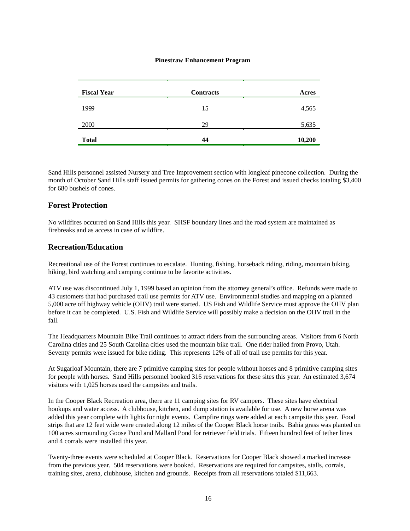#### **Pinestraw Enhancement Program**

| <b>Fiscal Year</b> | <b>Contracts</b> | Acres  |
|--------------------|------------------|--------|
| 1999               | 15               | 4,565  |
| 2000               | 29               | 5,635  |
| <b>Total</b>       | 44               | 10,200 |

Sand Hills personnel assisted Nursery and Tree Improvement section with longleaf pinecone collection. During the month of October Sand Hills staff issued permits for gathering cones on the Forest and issued checks totaling \$3,400 for 680 bushels of cones.

#### **Forest Protection**

No wildfires occurred on Sand Hills this year. SHSF boundary lines and the road system are maintained as firebreaks and as access in case of wildfire.

#### **Recreation/Education**

Recreational use of the Forest continues to escalate. Hunting, fishing, horseback riding, riding, mountain biking, hiking, bird watching and camping continue to be favorite activities.

ATV use was discontinued July 1, 1999 based an opinion from the attorney general's office. Refunds were made to 43 customers that had purchased trail use permits for ATV use. Environmental studies and mapping on a planned 5,000 acre off highway vehicle (OHV) trail were started. US Fish and Wildlife Service must approve the OHV plan before it can be completed. U.S. Fish and Wildlife Service will possibly make a decision on the OHV trail in the fall.

The Headquarters Mountain Bike Trail continues to attract riders from the surrounding areas. Visitors from 6 North Carolina cities and 25 South Carolina cities used the mountain bike trail. One rider hailed from Provo, Utah. Seventy permits were issued for bike riding. This represents 12% of all of trail use permits for this year.

At Sugarloaf Mountain, there are 7 primitive camping sites for people without horses and 8 primitive camping sites for people with horses. Sand Hills personnel booked 316 reservations for these sites this year. An estimated 3,674 visitors with 1,025 horses used the campsites and trails.

In the Cooper Black Recreation area, there are 11 camping sites for RV campers. These sites have electrical hookups and water access. A clubhouse, kitchen, and dump station is available for use. A new horse arena was added this year complete with lights for night events. Campfire rings were added at each campsite this year. Food strips that are 12 feet wide were created along 12 miles of the Cooper Black horse trails. Bahia grass was planted on 100 acres surrounding Goose Pond and Mallard Pond for retriever field trials. Fifteen hundred feet of tether lines and 4 corrals were installed this year.

Twenty-three events were scheduled at Cooper Black. Reservations for Cooper Black showed a marked increase from the previous year. 504 reservations were booked. Reservations are required for campsites, stalls, corrals, training sites, arena, clubhouse, kitchen and grounds. Receipts from all reservations totaled \$11,663.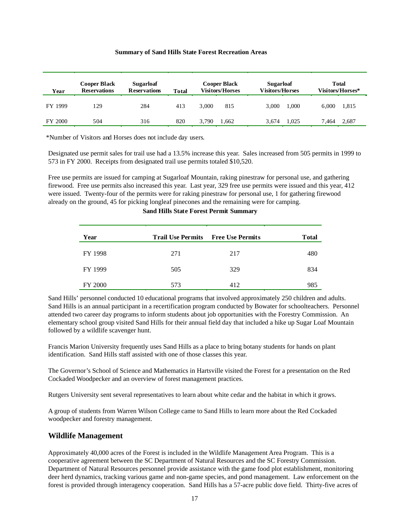#### **Summary of Sand Hills State Forest Recreation Areas**

| Year    | <b>Cooper Black</b><br><b>Reservations</b> | <b>Sugarloaf</b><br><b>Reservations</b> | <b>Total</b> | <b>Cooper Black</b><br><b>Visitors/Horses</b> |       | <b>Sugarloaf</b><br><b>Visitors/Horses</b> |       |       | <b>Total</b><br>Visitors/Horses* |
|---------|--------------------------------------------|-----------------------------------------|--------------|-----------------------------------------------|-------|--------------------------------------------|-------|-------|----------------------------------|
| FY 1999 | 129                                        | 284                                     | 413          | 3.000                                         | 815   | 3.000                                      | 1.000 | 6.000 | 1,815                            |
| FY 2000 | 504                                        | 316                                     | 820          | 3.790                                         | 1.662 | 3.674                                      | 1.025 | 7.464 | 2.687                            |

\*Number of Visitors and Horses does not include day users.

Designated use permit sales for trail use had a 13.5% increase this year. Sales increased from 505 permits in 1999 to 573 in FY 2000. Receipts from designated trail use permits totaled \$10,520.

Free use permits are issued for camping at Sugarloaf Mountain, raking pinestraw for personal use, and gathering firewood. Free use permits also increased this year. Last year, 329 free use permits were issued and this year, 412 were issued. Twenty-four of the permits were for raking pinestraw for personal use, 1 for gathering firewood already on the ground, 45 for picking longleaf pinecones and the remaining were for camping.

| Year    | <b>Trail Use Permits</b> Free Use Permits |     | <b>T</b> otal |
|---------|-------------------------------------------|-----|---------------|
| FY 1998 | 271                                       | 217 | 480           |
| FY 1999 | 505                                       | 329 | 834           |
| FY 2000 | 573                                       | 412 | 985           |

**Sand Hills State Forest Permit Summary** 

Sand Hills' personnel conducted 10 educational programs that involved approximately 250 children and adults. Sand Hills is an annual participant in a recertification program conducted by Bowater for schoolteachers. Personnel attended two career day programs to inform students about job opportunities with the Forestry Commission. An elementary school group visited Sand Hills for their annual field day that included a hike up Sugar Loaf Mountain followed by a wildlife scavenger hunt.

Francis Marion University frequently uses Sand Hills as a place to bring botany students for hands on plant identification. Sand Hills staff assisted with one of those classes this year.

The Governor's School of Science and Mathematics in Hartsville visited the Forest for a presentation on the Red Cockaded Woodpecker and an overview of forest management practices.

Rutgers University sent several representatives to learn about white cedar and the habitat in which it grows.

A group of students from Warren Wilson College came to Sand Hills to learn more about the Red Cockaded woodpecker and forestry management.

### **Wildlife Management**

Approximately 40,000 acres of the Forest is included in the Wildlife Management Area Program. This is a cooperative agreement between the SC Department of Natural Resources and the SC Forestry Commission. Department of Natural Resources personnel provide assistance with the game food plot establishment, monitoring deer herd dynamics, tracking various game and non-game species, and pond management. Law enforcement on the forest is provided through interagency cooperation. Sand Hills has a 57-acre public dove field. Thirty-five acres of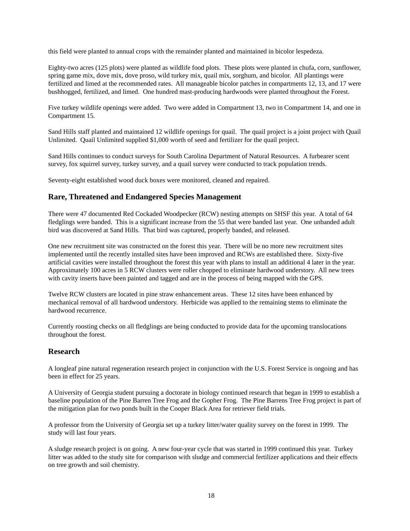this field were planted to annual crops with the remainder planted and maintained in bicolor lespedeza.

Eighty-two acres (125 plots) were planted as wildlife food plots. These plots were planted in chufa, corn, sunflower, spring game mix, dove mix, dove proso, wild turkey mix, quail mix, sorghum, and bicolor. All plantings were fertilized and limed at the recommended rates. All manageable bicolor patches in compartments 12, 13, and 17 were bushhogged, fertilized, and limed. One hundred mast-producing hardwoods were planted throughout the Forest.

Five turkey wildlife openings were added. Two were added in Compartment 13, two in Compartment 14, and one in Compartment 15.

Sand Hills staff planted and maintained 12 wildlife openings for quail. The quail project is a joint project with Quail Unlimited. Quail Unlimited supplied \$1,000 worth of seed and fertilizer for the quail project.

Sand Hills continues to conduct surveys for South Carolina Department of Natural Resources. A furbearer scent survey, fox squirrel survey, turkey survey, and a quail survey were conducted to track population trends.

Seventy-eight established wood duck boxes were monitored, cleaned and repaired.

### **Rare, Threatened and Endangered Species Management**

There were 47 documented Red Cockaded Woodpecker (RCW) nesting attempts on SHSF this year. A total of 64 fledglings were banded. This is a significant increase from the 55 that were banded last year. One unbanded adult bird was discovered at Sand Hills. That bird was captured, properly banded, and released.

One new recruitment site was constructed on the forest this year. There will be no more new recruitment sites implemented until the recently installed sites have been improved and RCWs are established there. Sixty-five artificial cavities were installed throughout the forest this year with plans to install an additional 4 later in the year. Approximately 100 acres in 5 RCW clusters were roller chopped to eliminate hardwood understory. All new trees with cavity inserts have been painted and tagged and are in the process of being mapped with the GPS.

Twelve RCW clusters are located in pine straw enhancement areas. These 12 sites have been enhanced by mechanical removal of all hardwood understory. Herbicide was applied to the remaining stems to eliminate the hardwood recurrence.

Currently roosting checks on all fledglings are being conducted to provide data for the upcoming translocations throughout the forest.

### **Research**

A longleaf pine natural regeneration research project in conjunction with the U.S. Forest Service is ongoing and has been in effect for 25 years.

A University of Georgia student pursuing a doctorate in biology continued research that began in 1999 to establish a baseline population of the Pine Barren Tree Frog and the Gopher Frog. The Pine Barrens Tree Frog project is part of the mitigation plan for two ponds built in the Cooper Black Area for retriever field trials.

A professor from the University of Georgia set up a turkey litter/water quality survey on the forest in 1999. The study will last four years.

A sludge research project is on going. A new four-year cycle that was started in 1999 continued this year. Turkey litter was added to the study site for comparison with sludge and commercial fertilizer applications and their effects on tree growth and soil chemistry.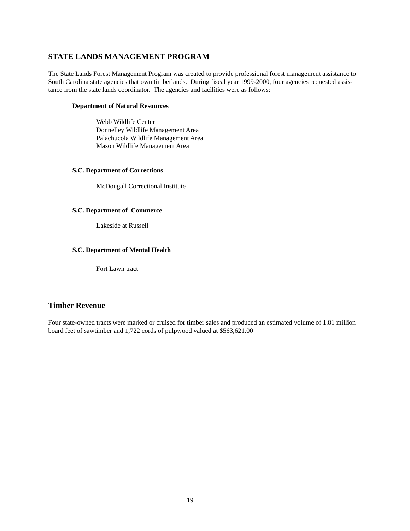# <span id="page-18-0"></span>**STATE LANDS MANAGEMENT PROGRAM**

The State Lands Forest Management Program was created to provide professional forest management assistance to South Carolina state agencies that own timberlands. During fiscal year 1999-2000, four agencies requested assistance from the state lands coordinator. The agencies and facilities were as follows:

#### **Department of Natural Resources**

Webb Wildlife Center Donnelley Wildlife Management Area Palachucola Wildlife Management Area Mason Wildlife Management Area

#### **S.C. Department of Corrections**

McDougall Correctional Institute

#### **S.C. Department of Commerce**

Lakeside at Russell

#### **S.C. Department of Mental Health**

Fort Lawn tract

# **Timber Revenue**

Four state-owned tracts were marked or cruised for timber sales and produced an estimated volume of 1.81 million board feet of sawtimber and 1,722 cords of pulpwood valued at \$563,621.00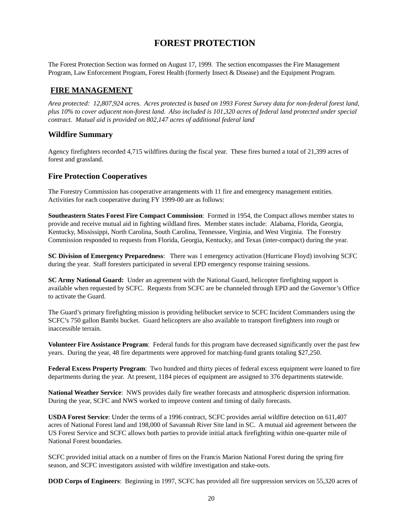# **FOREST PROTECTION**

<span id="page-19-0"></span>The Forest Protection Section was formed on August 17, 1999. The section encompasses the Fire Management Program, Law Enforcement Program, Forest Health (formerly Insect & Disease) and the Equipment Program.

# **FIRE MANAGEMENT**

*Area protected: 12,807,924 acres. Acres protected is based on 1993 Forest Survey data for non-federal forest land, plus 10% to cover adjacent non-forest land. Also included is 101,320 acres of federal land protected under special contract. Mutual aid is provided on 802,147 acres of additional federal land* 

# **Wildfire Summary**

Agency firefighters recorded 4,715 wildfires during the fiscal year. These fires burned a total of 21,399 acres of forest and grassland.

# **Fire Protection Cooperatives**

The Forestry Commission has cooperative arrangements with 11 fire and emergency management entities. Activities for each cooperative during FY 1999-00 are as follows:

**Southeastern States Forest Fire Compact Commission**: Formed in 1954, the Compact allows member states to provide and receive mutual aid in fighting wildland fires. Member states include: Alabama, Florida, Georgia, Kentucky, Mississippi, North Carolina, South Carolina, Tennessee, Virginia, and West Virginia. The Forestry Commission responded to requests from Florida, Georgia, Kentucky, and Texas (inter-compact) during the year.

**SC Division of Emergency Preparedness**: There was 1 emergency activation (Hurricane Floyd) involving SCFC during the year. Staff foresters participated in several EPD emergency response training sessions.

**SC Army National Guard:** Under an agreement with the National Guard, helicopter firefighting support is available when requested by SCFC. Requests from SCFC are be channeled through EPD and the Governor's Office to activate the Guard.

The Guard's primary firefighting mission is providing helibucket service to SCFC Incident Commanders using the SCFC's 750 gallon Bambi bucket. Guard helicopters are also available to transport firefighters into rough or inaccessible terrain.

**Volunteer Fire Assistance Program**: Federal funds for this program have decreased significantly over the past few years. During the year, 48 fire departments were approved for matching-fund grants totaling \$27,250.

**Federal Excess Property Program**: Two hundred and thirty pieces of federal excess equipment were loaned to fire departments during the year. At present, 1184 pieces of equipment are assigned to 376 departments statewide.

**National Weather Service**: NWS provides daily fire weather forecasts and atmospheric dispersion information. During the year, SCFC and NWS worked to improve content and timing of daily forecasts.

**USDA Forest Service**: Under the terms of a 1996 contract, SCFC provides aerial wildfire detection on 611,407 acres of National Forest land and 198,000 of Savannah River Site land in SC. A mutual aid agreement between the US Forest Service and SCFC allows both parties to provide initial attack firefighting within one-quarter mile of National Forest boundaries.

SCFC provided initial attack on a number of fires on the Francis Marion National Forest during the spring fire season, and SCFC investigators assisted with wildfire investigation and stake-outs.

**DOD Corps of Engineers**: Beginning in 1997, SCFC has provided all fire suppression services on 55,320 acres of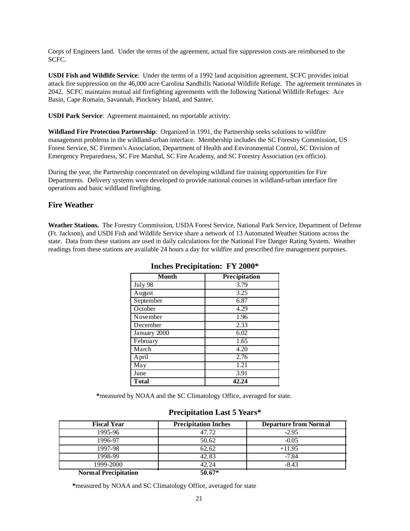Corps of Engineers land. Under the terms of the agreement, actual fire suppression costs are reimbursed to the SCFC.

**USDI Fish and Wildlife Service**: Under the terms of a 1992 land acquisition agreement, SCFC provides initial attack fire suppression on the 46,000 acre Carolina Sandhills National Wildlife Refuge. The agreement terminates in 2042. SCFC maintains mutual aid firefighting agreements with the following National Wildlife Refuges: Ace Basin, Cape Romain, Savannah, Pinckney Island, and Santee.

**USDI Park Service**: Agreement maintained; no reportable activity*.* 

**Wildland Fire Protection Partnership**: Organized in 1991, the Partnership seeks solutions to wildfire management problems in the wildland-urban interface. Membership includes the SC Forestry Commission, US Forest Service, SC Firemen's Association, Department of Health and Environmental Control, SC Division of Emergency Preparedness, SC Fire Marshal, SC Fire Academy, and SC Forestry Association (ex officio).

During the year, the Partnership concentrated on developing wildland fire training opportunities for Fire Departments. Delivery systems were developed to provide national courses in wildland-urban interface fire operations and basic wildland firefighting.

# **Fire Weather**

**Weather Stations.** The Forestry Commission, USDA Forest Service, National Park Service, Department of Defense (Ft. Jackson), and USDI Fish and Wildlife Service share a network of 13 Automated Weather Stations across the state. Data from these stations are used in daily calculations for the National Fire Danger Rating System. Weather readings from these stations are available 24 hours a day for wildfire and prescribed fire management purposes.

| <b>Month</b>  | Precipitation |
|---------------|---------------|
| July 98       | 3.79          |
| August        | 3.25          |
| September     | 6.87          |
| October       | 4.29          |
| November      | 1.96          |
| December      | 2.33          |
| January 2000  | 6.02          |
| February      | 1.65          |
| March         | 4.20          |
| April         | 2.76          |
| May           | 1.21          |
| June          | 3.91          |
| <b>T</b> otal | 42.24         |

**Inches Precipitation: FY 2000\*** 

**\***measured by NOAA and the SC Climatology Office, averaged for state.

| <b>Fiscal Year</b>          | <b>Precipitation Inches</b> | <b>Departure from Normal</b> |
|-----------------------------|-----------------------------|------------------------------|
| 1995-96                     | 47.72                       | $-2.95$                      |
| 1996-97                     | 50.62                       | $-0.05$                      |
| 1997-98                     | 62.62                       | $+11.95$                     |
| 1998-99                     | 42.83                       | $-7.84$                      |
| 1999-2000                   | 42.24                       | $-8.43$                      |
| <b>Normal Precipitation</b> | $50.67*$                    |                              |

### **Precipitation Last 5 Years\***

**\***measured by NOAA and SC Climatology Office, averaged for state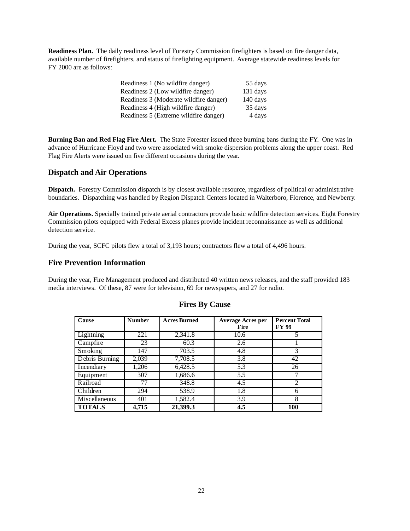**Readiness Plan.** The daily readiness level of Forestry Commission firefighters is based on fire danger data, available number of firefighters, and status of firefighting equipment. Average statewide readiness levels for FY 2000 are as follows:

| Readiness 1 (No wildfire danger)       | 55 days  |
|----------------------------------------|----------|
| Readiness 2 (Low wildfire danger)      | 131 days |
| Readiness 3 (Moderate wildfire danger) | 140 days |
| Readiness 4 (High wildfire danger)     | 35 days  |
| Readiness 5 (Extreme wildfire danger)  | 4 days   |

**Burning Ban and Red Flag Fire Alert.** The State Forester issued three burning bans during the FY. One was in advance of Hurricane Floyd and two were associated with smoke dispersion problems along the upper coast. Red Flag Fire Alerts were issued on five different occasions during the year.

### **Dispatch and Air Operations**

**Dispatch.** Forestry Commission dispatch is by closest available resource, regardless of political or administrative boundaries. Dispatching was handled by Region Dispatch Centers located in Walterboro, Florence, and Newberry.

**Air Operations.** Specially trained private aerial contractors provide basic wildfire detection services. Eight Forestry Commission pilots equipped with Federal Excess planes provide incident reconnaissance as well as additional detection service.

During the year, SCFC pilots flew a total of 3,193 hours; contractors flew a total of 4,496 hours.

#### **Fire Prevention Information**

During the year, Fire Management produced and distributed 40 written news releases, and the staff provided 183 media interviews. Of these, 87 were for television, 69 for newspapers, and 27 for radio.

| Cause          | <b>Number</b> | <b>Acres Burned</b> | <b>Average Acres per</b><br>Fire | <b>Percent Total</b><br><b>FY 99</b> |
|----------------|---------------|---------------------|----------------------------------|--------------------------------------|
| Lightning      | 221           | 2,341.8             | 10.6                             |                                      |
| Campfire       | 23            | 60.3                | 2.6                              |                                      |
| Smoking        | 147           | 703.5               | 4.8                              |                                      |
| Debris Burning | 2,039         | 7,708.5             | 3.8                              | 42                                   |
| Incendiary     | 1,206         | 6,428.5             | 5.3                              | 26                                   |
| Equipment      | 307           | 1,686.6             | 5.5                              |                                      |
| Railroad       | 77            | 348.8               | 4.5                              | 2                                    |
| Children       | 294           | 538.9               | 1.8                              | h                                    |
| Miscellaneous  | 401           | 1,582.4             | 3.9                              | 8                                    |
| <b>TOTALS</b>  | 4.715         | 21,399.3            | 4.5                              | 100                                  |

#### **Fires By Cause**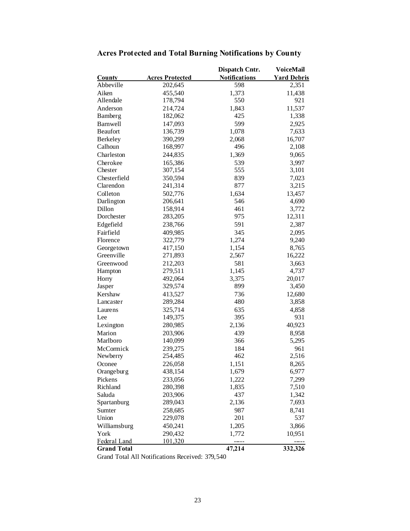|                                    |                        | <b>Dispatch Cntr.</b> | VoiceMail          |
|------------------------------------|------------------------|-----------------------|--------------------|
| <b>County</b>                      | <b>Acres Protected</b> | <b>Notifications</b>  | <b>Yard Debris</b> |
| Abbeville                          | 202,645                | 598                   | 2,351              |
| Aiken                              | 455,540                | 1,373                 | 11,438             |
| Allendale                          | 178,794                | 550                   | 921                |
| Anderson                           | 214,724                | 1,843                 | 11,537             |
| Bamberg                            | 182,062                | 425                   | 1,338              |
| Barnwell                           | 147,093                | 599                   | 2,925              |
| <b>Beaufort</b>                    | 136,739                | 1,078                 | 7,633              |
| Berkeley                           | 390,299                | 2,068                 | 16,707             |
| Calhoun                            | 168,997                | 496                   | 2,108              |
| Charleston                         | 244,835                | 1,369                 | 9,065              |
| Cherokee                           | 165,386                | 539                   | 3,997              |
| Chester                            | 307,154                | 555                   | 3,101              |
| Chesterfield                       | 350,594                | 839                   | 7,023              |
| Clarendon                          | 241,314                | 877                   | 3,215              |
| Colleton                           | 502,776                | 1,634                 | 13,457             |
| Darlington                         | 206,641                | 546                   | 4,690              |
| Dillon                             | 158,914                | 461                   | 3,772              |
| Dorchester                         | 283,205                | 975                   | 12,311             |
| Edgefield                          | 238,766                | 591                   | 2,387              |
| Fairfield                          | 409,985                | 345                   | 2,095              |
| Florence                           | 322,779                | 1,274                 | 9,240              |
| Georgetown                         | 417,150                | 1,154                 | 8,765              |
| Greenville                         | 271,893                | 2,567                 | 16,222             |
| Greenwood                          | 212,203                | 581                   | 3,663              |
| Hampton                            | 279,511                | 1,145                 | 4,737              |
| Horry                              | 492,064                | 3,375                 | 20,017             |
| Jasper                             | 329,574                | 899                   | 3,450              |
| Kershaw                            | 413,527                | 736                   | 12,680             |
| Lancaster                          | 289,284                | 480                   | 3,858              |
| Laurens                            | 325,714                | 635                   | 4,858              |
| Lee                                | 149,375                | 395                   | 931                |
| Lexington                          | 280,985                | 2,136                 | 40,923             |
| Marion                             |                        | 439                   |                    |
| Marlboro                           | 203,906<br>140,099     | 366                   | 8,958<br>5,295     |
| McCormick                          | 239,275                | 184                   | 961                |
| Newberry                           | 254,485                | 462                   | 2,516              |
|                                    |                        |                       |                    |
| Oconee                             | 226,058                | 1,151                 | 8,265              |
| Orangeburg                         | 438,154                | 1,679                 | 6,977              |
| Pickens                            | 233,056                | 1,222                 | 7,299              |
| Richland                           | 280,398                | 1,835                 | 7,510              |
| Saluda                             | 203,906                | 437                   | 1,342              |
| Spartanburg                        | 289,043                | 2,136                 | 7,693              |
| Sumter                             | 258,685                | 987                   | 8,741              |
| Union                              | 229,078                | 201                   | 537                |
| Williamsburg                       | 450,241                | 1,205                 | 3,866              |
| York                               | 290,432                | 1,772                 | 10,951             |
| Federal Land<br><b>Grand Total</b> | 101,320                | 47,214                | 332,326            |

# **Acres Protected and Total Burning Notifications by County**

Grand Total All Notifications Received: 379,540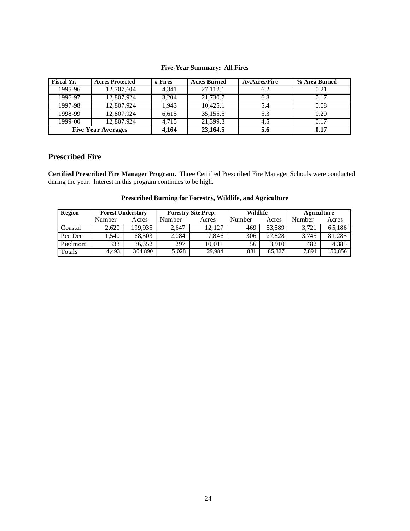#### **Five-Year Summary: All Fires**

| <b>Fiscal Yr.</b> | <b>Acres Protected</b>    | # Fires | <b>Acres Burned</b> | <b>Av.Acres/Fire</b> | % Area Burned |
|-------------------|---------------------------|---------|---------------------|----------------------|---------------|
| 1995-96           | 12,707,604                | 4,341   | 27,112.1            | 6.2                  | 0.21          |
| 1996-97           | 12,807,924                | 3,204   | 21,730.7            | 6.8                  | 0.17          |
| 1997-98           | 12,807,924                | 1,943   | 10,425.1            | 5.4                  | 0.08          |
| 1998-99           | 12,807,924                | 6,615   | 35,155.5            | 5.3                  | 0.20          |
| 1999-00           | 12,807,924                | 4.715   | 21,399.3            | 4.5                  | 0.17          |
|                   | <b>Five Year Averages</b> | 4,164   | 23,164.5            | 5.6                  | 0.17          |

# **Prescribed Fire**

**Certified Prescribed Fire Manager Program.** Three Certified Prescribed Fire Manager Schools were conducted during the year. Interest in this program continues to be high.

| Region   | <b>Forest Understory</b> |              | <b>Forestry Site Prep.</b> |        | Wildlife |        | <b>A</b> griculture |         |
|----------|--------------------------|--------------|----------------------------|--------|----------|--------|---------------------|---------|
|          | Number                   | <b>Acres</b> | Number                     | Acres  | Number   | Acres  | Number              | Acres   |
| Coastal  | 2.620                    | 199.935      | 2.647                      | 12.127 | 469      | 53.589 | 3.721               | 65.186  |
| Pee Dee  | ,540                     | 68.303       | 2.084                      | 7.846  | 306      | 27,828 | 3.745               | 81.285  |
| Piedmont | 333                      | 36.652       | 297                        | 10.011 | 56       | 3.910  | 482                 | 4.385   |
| Totals   | 4,493                    | 304,890      | 5.028                      | 29,984 | 831      | 85.327 | 7,891               | 150,856 |

#### **Prescribed Burning for Forestry, Wildlife, and Agriculture**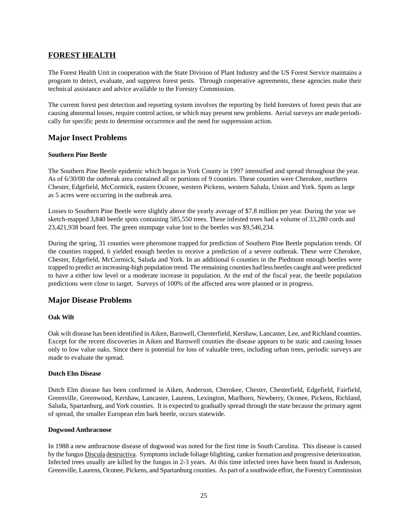# <span id="page-24-0"></span>**FOREST HEALTH**

The Forest Health Unit in cooperation with the State Division of Plant Industry and the US Forest Service maintains a program to detect, evaluate, and suppress forest pests. Through cooperative agreements, these agencies make their technical assistance and advice available to the Forestry Commission.

The current forest pest detection and reporting system involves the reporting by field foresters of forest pests that are causing abnormal losses, require control action, or which may present new problems. Aerial surveys are made periodically for specific pests to determine occurrence and the need for suppression action.

### **Major Insect Problems**

#### **Southern Pine Beetle**

The Southern Pine Beetle epidemic which began in York County in 1997 intensified and spread throughout the year. As of 6/30/00 the outbreak area contained all or portions of 9 counties. These counties were Cherokee, northern Chester, Edgefield, McCormick, eastern Oconee, western Pickens, western Saluda, Union and York. Spots as large as 5 acres were occurring in the outbreak area.

Losses to Southern Pine Beetle were slightly above the yearly average of \$7.8 million per year. During the year we sketch-mapped 3,840 beetle spots containing 585,550 trees. These infested trees had a volume of 33,280 cords and 23,421,938 board feet. The green stumpage value lost to the beetles was \$9,546,234.

During the spring, 31 counties were pheromone trapped for prediction of Southern Pine Beetle population trends. Of the counties trapped, 6 yielded enough beetles to receive a prediction of a severe outbreak. These were Cherokee, Chester, Edgefield, McCormick, Saluda and York. In an additional 6 counties in the Piedmont enough beetles were trapped to predict an increasing-high population trend. The remaining counties had less beetles caught and were predicted to have a either low level or a moderate increase in population. At the end of the fiscal year, the beetle population predictions were close to target. Surveys of 100% of the affected area were planned or in progress.

### **Major Disease Problems**

#### **Oak Wilt**

Oak wilt disease has been identified in Aiken, Barnwell, Chesterfield, Kershaw, Lancaster, Lee, and Richland counties. Except for the recent discoveries in Aiken and Barnwell counties the disease appears to be static and causing losses only to low value oaks. Since there is potential for loss of valuable trees, including urban trees, periodic surveys are made to evaluate the spread.

#### **Dutch Elm Disease**

Dutch Elm disease has been confirmed in Aiken, Anderson, Cherokee, Chester, Chesterfield, Edgefield, Fairfield, Greenville, Greenwood, Kershaw, Lancaster, Laurens, Lexington, Marlboro, Newberry, Oconee, Pickens, Richland, Saluda, Spartanburg, and York counties. It is expected to gradually spread through the state because the primary agent of spread, the smaller European elm bark beetle, occurs statewide.

#### **Dogwood Anthracnose**

In 1988 a new anthracnose disease of dogwood was noted for the first time in South Carolina. This disease is caused by the fungus Discula destructiva. Symptoms include foliage blighting, canker formation and progressive deterioration. Infected trees usually are killed by the fungus in 2-3 years. At this time infected trees have been found in Anderson, Greenville, Laurens, Oconee, Pickens, and Spartanburg counties. As part of a southwide effort, the Forestry Commission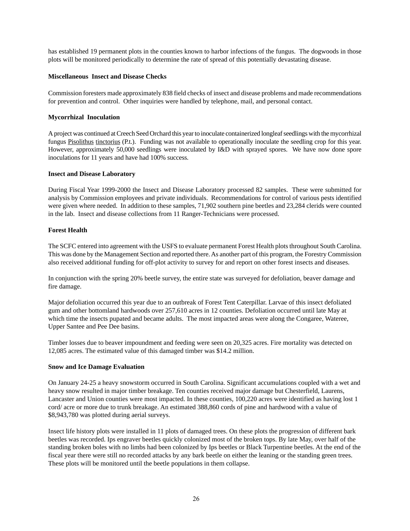has established 19 permanent plots in the counties known to harbor infections of the fungus. The dogwoods in those plots will be monitored periodically to determine the rate of spread of this potentially devastating disease.

#### **Miscellaneous Insect and Disease Checks**

Commission foresters made approximately 838 field checks of insect and disease problems and made recommendations for prevention and control. Other inquiries were handled by telephone, mail, and personal contact.

#### **Mycorrhizal Inoculation**

A project was continued at Creech Seed Orchard this year to inoculate containerized longleaf seedlings with the mycorrhizal fungus Pisolithus tinctorius (P.t.). Funding was not available to operationally inoculate the seedling crop for this year. However, approximately 50,000 seedlings were inoculated by I&D with sprayed spores. We have now done spore inoculations for 11 years and have had 100% success.

#### **Insect and Disease Laboratory**

During Fiscal Year 1999-2000 the Insect and Disease Laboratory processed 82 samples. These were submitted for analysis by Commission employees and private individuals. Recommendations for control of various pests identified were given where needed. In addition to these samples, 71,902 southern pine beetles and 23,284 clerids were counted in the lab. Insect and disease collections from 11 Ranger-Technicians were processed.

#### **Forest Health**

The SCFC entered into agreement with the USFS to evaluate permanent Forest Health plots throughout South Carolina. This was done by the Management Section and reported there. As another part of this program, the Forestry Commission also received additional funding for off-plot activity to survey for and report on other forest insects and diseases.

In conjunction with the spring 20% beetle survey, the entire state was surveyed for defoliation, beaver damage and fire damage.

Major defoliation occurred this year due to an outbreak of Forest Tent Caterpillar. Larvae of this insect defoliated gum and other bottomland hardwoods over 257,610 acres in 12 counties. Defoliation occurred until late May at which time the insects pupated and became adults. The most impacted areas were along the Congaree, Wateree, Upper Santee and Pee Dee basins.

Timber losses due to beaver impoundment and feeding were seen on 20,325 acres. Fire mortality was detected on 12,085 acres. The estimated value of this damaged timber was \$14.2 million.

#### **Snow and Ice Damage Evaluation**

On January 24-25 a heavy snowstorm occurred in South Carolina. Significant accumulations coupled with a wet and heavy snow resulted in major timber breakage. Ten counties received major damage but Chesterfield, Laurens, Lancaster and Union counties were most impacted. In these counties, 100,220 acres were identified as having lost 1 cord/ acre or more due to trunk breakage. An estimated 388,860 cords of pine and hardwood with a value of \$8,943,780 was plotted during aerial surveys.

Insect life history plots were installed in 11 plots of damaged trees. On these plots the progression of different bark beetles was recorded. Ips engraver beetles quickly colonized most of the broken tops. By late May, over half of the standing broken boles with no limbs had been colonized by Ips beetles or Black Turpentine beetles. At the end of the fiscal year there were still no recorded attacks by any bark beetle on either the leaning or the standing green trees. These plots will be monitored until the beetle populations in them collapse.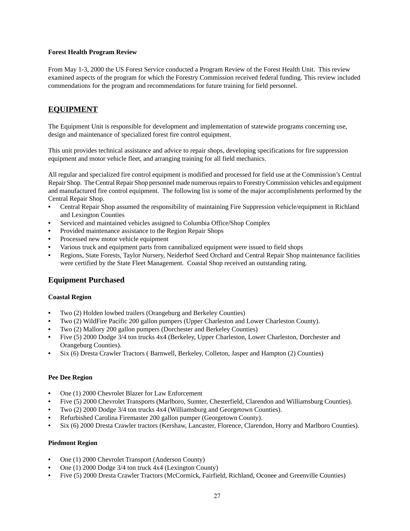#### <span id="page-26-0"></span>**Forest Health Program Review**

From May 1-3, 2000 the US Forest Service conducted a Program Review of the Forest Health Unit. This review examined aspects of the program for which the Forestry Commission received federal funding. This review included commendations for the program and recommendations for future training for field personnel.

# **EQUIPMENT**

The Equipment Unit is responsible for development and implementation of statewide programs concerning use, design and maintenance of specialized forest fire control equipment.

This unit provides technical assistance and advice to repair shops, developing specifications for fire suppression equipment and motor vehicle fleet, and arranging training for all field mechanics.

All regular and specialized fire control equipment is modified and processed for field use at the Commission's Central Repair Shop. The Central Repair Shop personnel made numerous repairs to Forestry Commission vehicles and equipment and manufactured fire control equipment. The following list is some of the major accomplishments performed by the Central Repair Shop.

- Central Repair Shop assumed the responsibility of maintaining Fire Suppression vehicle/equipment in Richland and Lexington Counties
- Serviced and maintained vehicles assigned to Columbia Office/Shop Complex
- Provided maintenance assistance to the Region Repair Shops
- Processed new motor vehicle equipment
- Various truck and equipment parts from cannibalized equipment were issued to field shops
- **•** Regions, State Forests, Taylor Nursery, Neiderhof Seed Orchard and Central Repair Shop maintenance facilities were certified by the State Fleet Management. Coastal Shop received an outstanding rating.

# **Equipment Purchased**

#### **Coastal Region**

- Two (2) Holden lowbed trailers (Orangeburg and Berkeley Counties)
- Two (2) WildFire Pacific 200 gallon pumpers (Upper Charleston and Lower Charleston County).
- Two (2) Mallory 200 gallon pumpers (Dorchester and Berkeley Counties)
- Five (5) 2000 Dodge 3/4 ton trucks 4x4 (Berkeley, Upper Charleston, Lower Charleston, Dorchester and Orangeburg Counties).
- Six (6) Dresta Crawler Tractors ( Barnwell, Berkeley, Colleton, Jasper and Hampton (2) Counties)

#### **Pee Dee Region**

- One (1) 2000 Chevrolet Blazer for Law Enforcement
- Five (5) 2000 Chevrolet Transports (Marlboro, Sumter, Chesterfield, Clarendon and Williamsburg Counties).
- Two (2) 2000 Dodge 3/4 ton trucks 4x4 (Williamsburg and Georgetown Counties).
- Refurbished Carolina Firemaster 200 gallon pumper (Georgetown County).
- Six (6) 2000 Dresta Crawler tractors (Kershaw, Lancaster, Florence, Clarendon, Horry and Marlboro Counties).

#### **Piedmont Region**

- One (1) 2000 Chevrolet Transport (Anderson County)
- One (1) 2000 Dodge 3/4 ton truck 4x4 (Lexington County)
- Five (5) 2000 Dresta Crawler Tractors (McCormick, Fairfield, Richland, Oconee and Greenville Counties)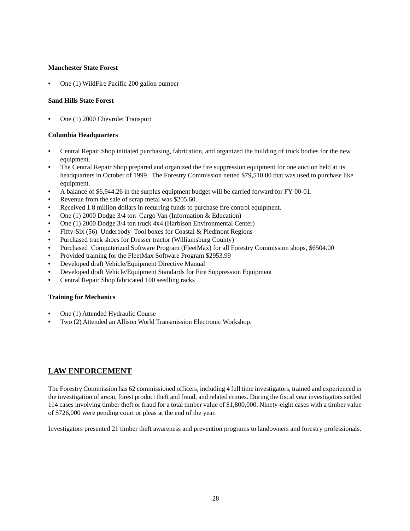#### <span id="page-27-0"></span>**Manchester State Forest**

One (1) WildFire Pacific 200 gallon pumper

#### **Sand Hills State Forest**

• One (1) 2000 Chevrolet Transport

#### **Columbia Headquarters**

- Central Repair Shop initiated purchasing, fabrication, and organized the building of truck bodies for the new equipment.
- The Central Repair Shop prepared and organized the fire suppression equipment for one auction held at its headquarters in October of 1999. The Forestry Commission netted \$79,510.00 that was used to purchase like equipment.
- A balance of \$6,944.26 in the surplus equipment budget will be carried forward for FY 00-01.
- Revenue from the sale of scrap metal was \$205.60.
- Received 1.8 million dollars in recurring funds to purchase fire control equipment.
- One (1) 2000 Dodge 3/4 ton Cargo Van (Information & Education)
- One (1) 2000 Dodge 3/4 ton truck 4x4 (Harbison Environmental Center)
- Fifty-Six (56) Underbody Tool boxes for Coastal & Piedmont Regions
- Purchased track shoes for Dresser tractor (Williamsburg County)
- Purchased Computerized Software Program (FleetMax) for all Forestry Commission shops, \$6504.00
- Provided training for the FleetMax Software Program \$2953.99
- Developed draft Vehicle/Equipment Directive Manual
- Developed draft Vehicle/Equipment Standards for Fire Suppression Equipment
- Central Repair Shop fabricated 100 seedling racks

#### **Training for Mechanics**

- One (1) Attended Hydraulic Course
- Two (2) Attended an Allison World Transmission Electronic Workshop.

# **LAW ENFORCEMENT**

The Forestry Commission has 62 commissioned officers, including 4 full time investigators, trained and experienced in the investigation of arson, forest product theft and fraud, and related crimes. During the fiscal year investigators settled 114 cases involving timber theft or fraud for a total timber value of \$1,800,000. Ninety-eight cases with a timber value of \$726,000 were pending court or pleas at the end of the year.

Investigators presented 21 timber theft awareness and prevention programs to landowners and forestry professionals.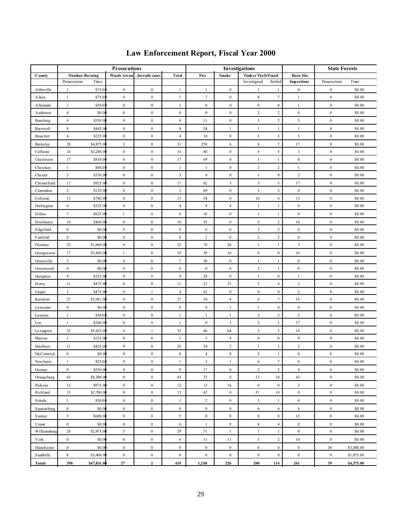|                   |                        |             | <b>Prosecutions</b> |                  |                  |                  |                  | Investigations          |                         |                    | <b>State Forests</b> |            |
|-------------------|------------------------|-------------|---------------------|------------------|------------------|------------------|------------------|-------------------------|-------------------------|--------------------|----------------------|------------|
| County            | <b>Outdoor Burning</b> |             | <b>Woods Arson</b>  | Juvenile cases   | Total            | Fire             | Smoke            | Timber Theft/Fraud      |                         | <b>Burn Site</b>   |                      |            |
|                   | Prosecutions           | Fines       |                     |                  |                  |                  |                  | Investigated            | Settled                 | <b>Inspections</b> | Prosecutions         | Fines      |
| <b>A</b> bbeville | 1                      | \$75.0      | $\bf{0}$            | $\boldsymbol{0}$ | $\mathbf{1}$     | $\mathbf{1}$     | $\bf{0}$         | -1                      | $\mathbf{1}$            | $\bf{0}$           | $\bf{0}$             | \$0.00     |
| Aiken             | $\mathbf{1}$           | \$75.0      | $\bf{0}$            | $\boldsymbol{0}$ | $\mathbf{1}$     | $\tau$           | $\bf{0}$         | 8                       | $\tau$                  | $\mathbf{1}$       | $\boldsymbol{0}$     | \$0.00     |
| <b>Allendale</b>  | $\mathbf{1}$           | \$50.0      | $\bf{0}$            | $\bf{0}$         | $\mathbf{1}$     | 8                | $\bf{0}$         | $\bf{0}$                | $\boldsymbol{0}$        | $\mathbf{1}$       | $\boldsymbol{0}$     | \$0.00     |
| Anderson          | $\boldsymbol{0}$       | \$0.0       | $\boldsymbol{0}$    | $\boldsymbol{0}$ | $\bf{0}$         | $\boldsymbol{0}$ | $\bf{0}$         | $\overline{c}$          | $\sqrt{2}$              | $\boldsymbol{0}$   | $\boldsymbol{0}$     | \$0.00     |
| Bam berg          | $\overline{4}$         | \$550.0     | $\boldsymbol{0}$    | $\boldsymbol{0}$ | $\overline{4}$   | 11               | $\bf{0}$         | $\mathbf{3}$            | $\sqrt{2}$              | 5                  | $\boldsymbol{0}$     | \$0.00     |
| Barnwell          | $\,$ 8 $\,$            | \$485.0     | $\boldsymbol{0}$    | $\boldsymbol{0}$ | $\,$ 8 $\,$      | 24               | 1                | $\mathbf{1}$            | $\mathbf{1}$            | 1                  | $\boldsymbol{0}$     | \$0.00     |
| Beau fort         | $\overline{4}$         | \$225.0     | $\bf{0}$            | $\boldsymbol{0}$ | $\overline{4}$   | 10               | $\bf{0}$         | $\mathbf{3}$            | $\mathfrak{Z}$          | 5                  | $\boldsymbol{0}$     | \$0.00     |
| Berkeley          | 28                     | \$4,875.0   | 3                   | $\bf{0}$         | 31               | 250              | 6                | 8                       | $\tau$                  | 17                 | $\boldsymbol{0}$     | \$0.00     |
| Calhoun           | 16                     | \$2,240.0   | $\bf{0}$            | $\boldsymbol{0}$ | 16               | 40               | $\boldsymbol{0}$ | 5                       | 5                       | 3                  | $\bf{0}$             | \$0.00     |
| Charleston        | 17                     | \$810.0     | $\bf{0}$            | $\boldsymbol{0}$ | 17               | 69               | $\boldsymbol{0}$ | $\mathbf{1}$            | $\mathbf{1}$            | $\,$ 8 $\,$        | $\boldsymbol{0}$     | \$0.00     |
| Cherokee          | $\mathbf{1}$           | \$80.0      | $\bf{0}$            | $\boldsymbol{0}$ | $\mathbf{1}$     | 1                | $\boldsymbol{0}$ | $\,2$                   | $\sqrt{2}$              | $\mathbf{1}$       | $\boldsymbol{0}$     | \$0.00     |
| Chester           | $\mathfrak{Z}$         | \$330.0     | $\boldsymbol{0}$    | $\boldsymbol{0}$ | $\mathfrak{Z}$   | $\overline{4}$   | $\bf{0}$         | $\mathbf{1}$            | $\boldsymbol{0}$        | $\overline{c}$     | $\boldsymbol{0}$     | \$0.00     |
| Chesterfield      | 17                     | \$925.0     | $\boldsymbol{0}$    | $\boldsymbol{0}$ | 17               | 62               | 3                | 3                       | $\overline{\mathbf{3}}$ | 17                 | $\boldsymbol{0}$     | \$0.00     |
| Clarendon         | $\,2$                  | \$125.0     | $\bf{0}$            | $\boldsymbol{0}$ | $\overline{c}$   | 69               | $\bf{0}$         | $\overline{\mathbf{3}}$ | $\mathfrak z$           | $\boldsymbol{0}$   | $\boldsymbol{0}$     | \$0.00     |
| Colleton          | 13                     | \$780.0     | $\bf{0}$            | $\boldsymbol{0}$ | 13               | 54               | $\bf{0}$         | $10\,$                  | $\overline{4}$          | 13                 | $\boldsymbol{0}$     | \$0.00     |
| Darlington        | $\overline{4}$         | \$325.00    | $\bf{0}$            | $\boldsymbol{0}$ | $\overline{4}$   | 8                | $\overline{4}$   | $\mathbf{1}$            | $\mathbf{1}$            | $\boldsymbol{0}$   | $\bf{0}$             | \$0.00     |
| Dillon            | $\tau$                 | \$625.0     | $\mathbf{1}$        | $\bf{0}$         | 8                | 10               | $\bf{0}$         | $\mathbf{1}$            | $\mathbf{1}$            | $\bf{0}$           | $\bf{0}$             | \$0.00     |
| Dorchester        | 10                     | \$460.0     | $\bf{0}$            | $\boldsymbol{0}$ | 10               | 55               | $\boldsymbol{0}$ | 5                       | $\sqrt{2}$              | 16                 | $\bf{0}$             | \$0.00     |
| Edgefield         | $\boldsymbol{0}$       | \$0.0       | $\boldsymbol{0}$    | $\boldsymbol{0}$ | $\boldsymbol{0}$ | $\bf{0}$         | $\bf{0}$         | $\mathbf{3}$            | $\sqrt{2}$              | $\boldsymbol{0}$   | $\boldsymbol{0}$     | \$0.00     |
| Fairfield         | $\boldsymbol{0}$       | \$0.0       | $\boldsymbol{0}$    | $\boldsymbol{0}$ | $\boldsymbol{0}$ | $\overline{c}$   | $\bf{0}$         | $\overline{c}$          | $\sqrt{2}$              | $\bf{0}$           | $\boldsymbol{0}$     | \$0.00     |
| Florence          | 22                     | \$1,660.0   | $\bf{0}$            | $\bf{0}$         | 22               | 74               | 26               | $\mathbf{1}$            | $\mathbf{1}$            | 3                  | $\boldsymbol{0}$     | \$0.00     |
| Georgetown        | 17                     | \$3,450.0   | 1                   | $\bf{0}$         | 18               | 39               | 16               | $\bf{0}$                | $\boldsymbol{0}$        | 16                 | $\boldsymbol{0}$     | \$0.00     |
| Greenville        | 3                      | \$0.0       | $\overline{4}$      | $\bf{0}$         | 7                | 30               | $\bf{0}$         | $\mathbf{1}$            | $\mathbf{1}$            | $\bf{0}$           | $\bf{0}$             | \$0.00     |
| Greenwood         | $\boldsymbol{0}$       | \$0.0       | $\bf{0}$            | $\boldsymbol{0}$ | $\boldsymbol{0}$ | $\boldsymbol{0}$ | $\boldsymbol{0}$ | $\overline{c}$          | $\mathbf{1}$            | $\boldsymbol{0}$   | $\boldsymbol{0}$     | \$0.00     |
| Hampton           | $\overline{4}$         | \$325.0     | $\bf{0}$            | $\boldsymbol{0}$ | $\overline{4}$   | 28               | $\boldsymbol{0}$ | $\mathbf{1}$            | $\boldsymbol{0}$        | 1                  | $\boldsymbol{0}$     | \$0.00     |
| H orry            | 11                     | \$475.0     | $\bf{0}$            | $\boldsymbol{0}$ | 11               | 21               | 31               | 5                       | $\overline{4}$          | 3                  | $\boldsymbol{0}$     | \$0.00     |
| Jasper            | 3                      | \$475.0     | $\bf{0}$            | $\mathbf{1}$     | $\overline{4}$   | 42               | $\bf{0}$         | $\boldsymbol{0}$        | $\boldsymbol{0}$        | $\overline{2}$     | $\boldsymbol{0}$     | \$0.00     |
| Kershaw           | 27                     | \$3,051.0   | $\bf{0}$            | $\boldsymbol{0}$ | 27               | 30               | $\overline{4}$   | 6                       | $\tau$                  | 15                 | $\boldsymbol{0}$     | \$0.00     |
| Lancaster         | $\boldsymbol{0}$       | \$0.0       | $\bf{0}$            | $\mathbf{0}$     | $\bf{0}$         | $\bf{0}$         | 1                | $\mathbf{1}$            | $\boldsymbol{0}$        | $\overline{4}$     | $\boldsymbol{0}$     | \$0.00     |
| Laurens           | $\mathbf{1}$           | \$50.0      | $\bf{0}$            | $\boldsymbol{0}$ | $\mathbf{1}$     | $\mathbf{1}$     | 1                | $\mathbf{3}$            | $\mathfrak z$           | $\sqrt{2}$         | $\boldsymbol{0}$     | \$0.00     |
| Lee               | $\mathbf{1}$           | \$260.0     | $\boldsymbol{0}$    | $\boldsymbol{0}$ | $\mathbf{1}$     | $\bf{0}$         | $\mathfrak{Z}$   | $\overline{2}$          | $\mathbf{1}$            | 17                 | $\boldsymbol{0}$     | \$0.00     |
| Lexington         | 32                     | \$5,425.0   | $\bf{0}$            | $\mathbf{1}$     | 33               | 46               | 64               | $\mathbf{3}$            | $\sqrt{2}$              | 14                 | $\bf{0}$             | \$0.00     |
| Marion            | $\mathbf{1}$           | \$125.0     | $\bf{0}$            | $\bf{0}$         | 1                | 3                | $\overline{4}$   | $\bf{0}$                | $\boldsymbol{0}$        | 9                  | $\bf{0}$             | \$0.00     |
| Marlboro          | 11                     | \$425.0     | 9                   | $\boldsymbol{0}$ | 20               | 34               | $\overline{2}$   | $\mathbf{1}$            | $\mathbf{1}$            | 2                  | $\boldsymbol{0}$     | \$0.00     |
| McCormick         | $\boldsymbol{0}$       | \$0.0       | $\bf{0}$            | $\bf{0}$         | $\bf{0}$         | $\overline{4}$   | 8                | $\overline{c}$          | $\mathbf{1}$            | $\bf{0}$           | $\boldsymbol{0}$     | \$0.00     |
| New berry         | $\mathbf{1}$           | \$25.0      | $\mathbf{0}$        | $\mathbf{0}$     | $\mathbf{1}$     | $\boldsymbol{2}$ | $\mathbf{1}$     | 6                       | $\tau$                  | $\mathbf{0}$       | $\boldsymbol{0}$     | \$0.00     |
| Oconee            | 9                      | \$550.0     | $\bf{0}$            | $\boldsymbol{0}$ | 9                | 17               | 6                | $\overline{c}$          | $\sqrt{2}$              | $\overline{4}$     | $\boldsymbol{0}$     | \$0.00     |
| Orangeburg        | 43                     | \$8,300.0   | $\boldsymbol{0}$    | $\boldsymbol{0}$ | 43               | 72               | $\boldsymbol{0}$ | 33                      | 10                      | 43                 | $\boldsymbol{0}$     | \$0.00     |
| Pickens           | 12                     | \$975.0     | $\boldsymbol{0}$    | $\boldsymbol{0}$ | 12               | 13               | 16               | $\bf{0}$                | $\boldsymbol{0}$        | $\mathbf{3}$       | $\boldsymbol{0}$     | \$0.00     |
| Richland          | 15                     | \$2,700.0   | $\bf{0}$            | $\boldsymbol{0}$ | 15               | 42               | $\bf{0}$         | 51                      | $10\,$                  | $\bf{0}$           | $\bf{0}$             | \$0.00     |
| Saluda            | $\mathbf{1}$           | \$50.0      | $\bf{0}$            | $\boldsymbol{0}$ | $\mathbf{1}$     | $\overline{c}$   | $\bf{0}$         | $\overline{3}$          | $\mathbf{1}$            | $\overline{4}$     | $\bf{0}$             | \$0.00     |
| Spartanburg       | $\boldsymbol{0}$       | \$0.0       | $\bf{0}$            | $\boldsymbol{0}$ | $\bf{0}$         | $\bf{0}$         | $\bf{0}$         | 6                       | 6                       | $\overline{4}$     | $\bf{0}$             | \$0.00     |
| <b>Sumter</b>     | 5                      | \$600.0     | $\boldsymbol{0}$    | $\boldsymbol{0}$ | 5                | $\boldsymbol{0}$ | 8                | $\boldsymbol{0}$        | $\boldsymbol{0}$        | 15                 | $\boldsymbol{0}$     | \$0.00     |
| Union             | $\boldsymbol{0}$       | \$0.0       | $\boldsymbol{0}$    | $\boldsymbol{0}$ | $\boldsymbol{0}$ | $\mathbf{1}$     | 9                | $\overline{4}$          | $\overline{4}$          | $\boldsymbol{0}$   | $\boldsymbol{0}$     | \$0.00     |
| Williamsburg      | 26                     | \$2,475.0   | $\mathbf{3}$        | $\boldsymbol{0}$ | 29               | 71               | $\mathbf{1}$     | $\mathbf{1}$            | $\mathbf{1}$            | $\boldsymbol{0}$   | $\boldsymbol{0}$     | \$0.00     |
| Y ork             | $\boldsymbol{0}$       | \$0.0       | 6                   | $\boldsymbol{0}$ | 6                | 11               | 11               | $\mathbf{3}$            | $\sqrt{2}$              | $10\,$             | $\boldsymbol{0}$     | \$0.00     |
| Manchester        | $\boldsymbol{0}$       | \$0.00      | $\boldsymbol{0}$    | $\boldsymbol{0}$ | $\boldsymbol{0}$ | $\boldsymbol{0}$ | $\boldsymbol{0}$ | $\boldsymbol{0}$        | $\boldsymbol{0}$        | $\boldsymbol{0}$   | 30                   | \$3,300.00 |
| Sandhills         | 8                      | \$3,400.00  | $\boldsymbol{0}$    | $\boldsymbol{0}$ | $\,$ 8 $\,$      | $\bf{0}$         | $\boldsymbol{0}$ | $\bf{0}$                | $\boldsymbol{0}$        | $\boldsymbol{0}$   | 9                    | \$1,075.00 |
| <b>Totals</b>     | 390                    | \$47,831.00 | 27                  | $\mathbf{2}$     | 419              | 1,268            | 226              | 200                     | 114                     | 261                | 39                   | \$4,375.00 |

# **Law Enforcement Report, Fiscal Year 2000**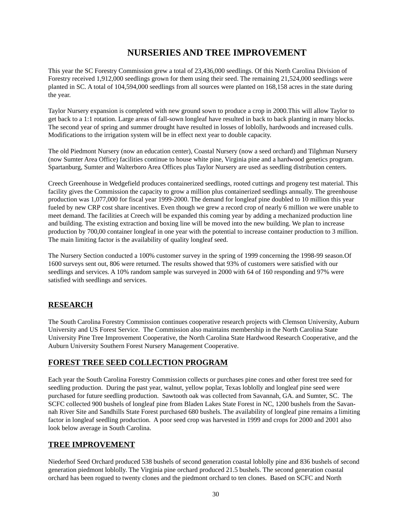# **NURSERIES AND TREE IMPROVEMENT**

<span id="page-29-0"></span>This year the SC Forestry Commission grew a total of 23,436,000 seedlings. Of this North Carolina Division of Forestry received 1,912,000 seedlings grown for them using their seed. The remaining 21,524,000 seedlings were planted in SC. A total of 104,594,000 seedlings from all sources were planted on 168,158 acres in the state during the year.

Taylor Nursery expansion is completed with new ground sown to produce a crop in 2000.This will allow Taylor to get back to a 1:1 rotation. Large areas of fall-sown longleaf have resulted in back to back planting in many blocks. The second year of spring and summer drought have resulted in losses of loblolly, hardwoods and increased culls. Modifications to the irrigation system will be in effect next year to double capacity.

The old Piedmont Nursery (now an education center), Coastal Nursery (now a seed orchard) and Tilghman Nursery (now Sumter Area Office) facilities continue to house white pine, Virginia pine and a hardwood genetics program. Spartanburg, Sumter and Walterboro Area Offices plus Taylor Nursery are used as seedling distribution centers.

Creech Greenhouse in Wedgefield produces containerized seedlings, rooted cuttings and progeny test material. This facility gives the Commission the capacity to grow a million plus containerized seedlings annually. The greenhouse production was 1,077,000 for fiscal year 1999-2000. The demand for longleaf pine doubled to 10 million this year fueled by new CRP cost share incentives. Even though we grew a record crop of nearly 6 million we were unable to meet demand. The facilities at Creech will be expanded this coming year by adding a mechanized production line and building. The existing extraction and boxing line will be moved into the new building. We plan to increase production by 700,00 container longleaf in one year with the potential to increase container production to 3 million. The main limiting factor is the availability of quality longleaf seed.

The Nursery Section conducted a 100% customer survey in the spring of 1999 concerning the 1998-99 season.Of 1600 surveys sent out, 806 were returned. The results showed that 93% of customers were satisfied with our seedlings and services. A 10% random sample was surveyed in 2000 with 64 of 160 responding and 97% were satisfied with seedlings and services.

# **RESEARCH**

The South Carolina Forestry Commission continues cooperative research projects with Clemson University, Auburn University and US Forest Service. The Commission also maintains membership in the North Carolina State University Pine Tree Improvement Cooperative, the North Carolina State Hardwood Research Cooperative, and the Auburn University Southern Forest Nursery Management Cooperative.

# **FOREST TREE SEED COLLECTION PROGRAM**

Each year the South Carolina Forestry Commission collects or purchases pine cones and other forest tree seed for seedling production. During the past year, walnut, yellow poplar, Texas loblolly and longleaf pine seed were purchased for future seedling production. Sawtooth oak was collected from Savannah, GA. and Sumter, SC. The SCFC collected 900 bushels of longleaf pine from Bladen Lakes State Forest in NC, 1200 bushels from the Savannah River Site and Sandhills State Forest purchased 680 bushels. The availability of longleaf pine remains a limiting factor in longleaf seedling production. A poor seed crop was harvested in 1999 and crops for 2000 and 2001 also look below average in South Carolina.

# **TREE IMPROVEMENT**

Niederhof Seed Orchard produced 538 bushels of second generation coastal loblolly pine and 836 bushels of second generation piedmont loblolly. The Virginia pine orchard produced 21.5 bushels. The second generation coastal orchard has been rogued to twenty clones and the piedmont orchard to ten clones. Based on SCFC and North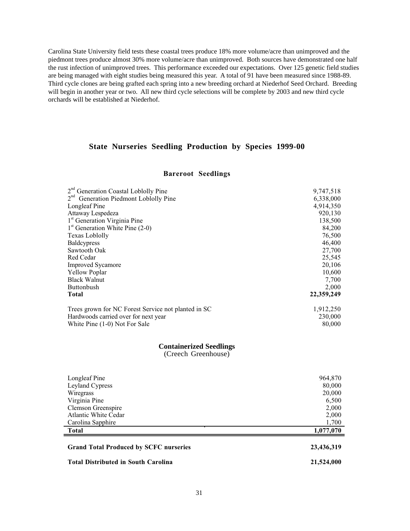Carolina State University field tests these coastal trees produce 18% more volume/acre than unimproved and the piedmont trees produce almost 30% more volume/acre than unimproved. Both sources have demonstrated one half the rust infection of unimproved trees. This performance exceeded our expectations. Over 125 genetic field studies are being managed with eight studies being measured this year. A total of 91 have been measured since 1988-89. Third cycle clones are being grafted each spring into a new breeding orchard at Niederhof Seed Orchard. Breeding will begin in another year or two. All new third cycle selections will be complete by 2003 and new third cycle orchards will be established at Niederhof.

### **State Nurseries Seedling Production by Species 1999-00**

#### **Bareroot Seedlings**

| 2 <sup>nd</sup> Generation Coastal Loblolly Pine    | 9,747,518  |
|-----------------------------------------------------|------------|
| 2 <sup>nd</sup> Generation Piedmont Loblolly Pine   | 6,338,000  |
| Longleaf Pine                                       | 4,914,350  |
| Attaway Lespedeza                                   | 920,130    |
| 1 <sup>st</sup> Generation Virginia Pine            | 138,500    |
| $1st$ Generation White Pine (2-0)                   | 84,200     |
| Texas Loblolly                                      | 76,500     |
| <b>Baldcypress</b>                                  | 46,400     |
| Sawtooth Oak                                        | 27,700     |
| Red Cedar                                           | 25,545     |
| <b>Improved Sycamore</b>                            | 20,106     |
| <b>Yellow Poplar</b>                                | 10,600     |
| <b>Black Walnut</b>                                 | 7,700      |
| <b>Buttonbush</b>                                   | 2,000      |
| <b>Total</b>                                        | 22,359,249 |
| Trees grown for NC Forest Service not planted in SC | 1,912,250  |
| Hardwoods carried over for next year                | 230,000    |
| White Pine (1-0) Not For Sale                       | 80,000     |

#### **Containerized Seedlings**

(Creech Greenhouse)

| Longleaf Pine                                 | 964,870    |
|-----------------------------------------------|------------|
| Leyland Cypress                               | 80,000     |
| Wiregrass                                     | 20,000     |
| Virginia Pine                                 | 6,500      |
| Clemson Greenspire                            | 2,000      |
| Atlantic White Cedar                          | 2,000      |
| Carolina Sapphire                             | 1,700      |
| <b>Total</b>                                  | 1,077,070  |
|                                               |            |
| <b>Grand Total Produced by SCFC nurseries</b> | 23,436,319 |
| <b>Total Distributed in South Carolina</b>    | 21,524,000 |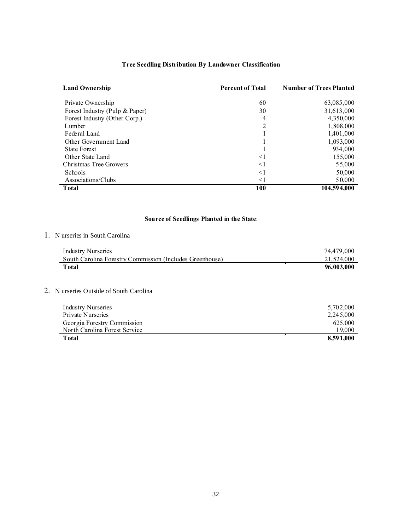# **Tree Seedling Distribution By Landowner Classification**

| <b>Land Ownership</b>          | <b>Percent of Total</b> | <b>Number of Trees Planted</b> |
|--------------------------------|-------------------------|--------------------------------|
| Private Ownership              | 60                      | 63,085,000                     |
| Forest Industry (Pulp & Paper) | 30                      | 31,613,000                     |
| Forest Industry (Other Corp.)  | 4                       | 4,350,000                      |
| Lumber                         | 2                       | 1,808,000                      |
| Federal Land                   |                         | 1,401,000                      |
| Other Government Land          |                         | 1,093,000                      |
| <b>State Forest</b>            |                         | 934,000                        |
| Other State Land               | $\leq$ 1                | 155,000                        |
| Christmas Tree Growers         | $\leq$ 1                | 55,000                         |
| Schools                        | $\leq$ 1                | 50,000                         |
| Associations/Clubs             | $\leq$ 1                | 50,000                         |
| <b>T</b> otal                  | 100                     | 104,594,000                    |

# **Source of Seedlings Planted in the State**:

#### 1. N urseries in South Carolina

| <b>Industry Nurseries</b>                                | 74.479.000 |
|----------------------------------------------------------|------------|
| South Carolina Forestry Commission (Includes Greenhouse) | 21,524,000 |
| Total                                                    | 96,003,000 |

# 2. N urseries Outside of South Carolina

| <b>Industry Nurseries</b>     | 5,702,000 |
|-------------------------------|-----------|
| Private Nurseries             | 2,245,000 |
| Georgia Forestry Commission   | 625,000   |
| North Carolina Forest Service | 19.000    |
| Total                         | 8.591.000 |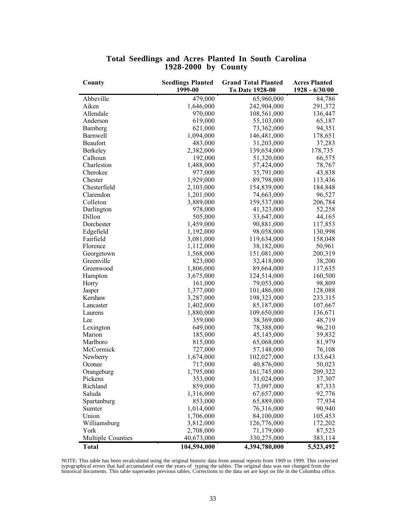| County            | <b>Seedlings Planted</b> | <b>Grand Total Planted</b> | <b>Acres Planted</b> |
|-------------------|--------------------------|----------------------------|----------------------|
|                   | 1999-00                  | To Date 1928-00            | 1928 - 6/30/00       |
| Abbeville         | 479,000                  | 65,960,000                 | 84,786               |
| Aiken             | 1,646,000                | 242,904,000                | 291,372              |
| Allendale         | 970,000                  | 108,561,000                | 136,447              |
| Anderson          | 619,000                  | 55,103,000                 | 65,187               |
| Bamberg           | 621,000                  | 73,362,000                 | 94,351               |
| Barnwell          | 1,094,000                | 146,481,000                | 178,651              |
| Beaufort          | 483,000                  | 31,203,000                 | 37,283               |
| Berkeley          | 2,382,000                | 139,654,000                | 178,735              |
| Calhoun           | 192,000                  | 51,320,000                 | 66,575               |
| Charleston        | 1,488,000                | 57,424,000                 | 78,767               |
| Cherokee          | 977,000                  | 35,791,000                 | 43,838               |
| Chester           | 1,929,000                | 89,798,000                 | 113,436              |
| Chesterfield      | 2,103,000                | 154,839,000                | 184,848              |
| Clarendon         | 1,201,000                | 74,663,000                 | 96,527               |
| Colleton          | 3,889,000                | 159,537,000                | 206,784              |
| Darlington        | 978,000                  | 41,323,000                 | 52,258               |
| Dillon            | 505,000                  | 33,647,000                 | 44,165               |
| Dorchester        | 1,459,000                | 90,881,000                 | 117,853              |
| Edgefield         | 1,192,000                | 98,058,000                 | 130,998              |
| Fairfield         | 3,081,000                | 119,634,000                | 158,048              |
| Florence          | 1,112,000                | 38,182,000                 | 50,961               |
| Georgetown        | 1,568,000                | 151,081,000                | 200,319              |
| Greenville        | 823,000                  | 32,418,000                 | 38,200               |
| Greenwood         | 1,806,000                | 89,664,000                 | 117,635              |
| Hampton           | 3,675,000                | 124,514,000                | 160,500              |
| Horry             | 161,000                  | 79,053,000                 | 98,809               |
| Jasper            | 1,377,000                | 101,486,000                | 128,088              |
| Kershaw           | 3,287,000                | 198,323,000                | 233,315              |
| Lancaster         | 1,402,000                | 85,187,000                 | 107,667              |
| Laurens           | 1,880,000                | 109,650,000                | 136,671              |
| Lee               | 359,000                  | 38,369,000                 | 48,719               |
| Lexington         | 649,000                  | 78,388,000                 | 96,210               |
| Marion            | 185,000                  | 45,145,000                 | 59,832               |
| Marlboro          | 815,000                  | 65,068,000                 | 81,979               |
| McCormick         | 727,000                  | 57,148,000                 | 76,108               |
| Newberry          | 1,674,000                | 102,027,000                | 133,643              |
| Oconee            | 717,000                  | 40,876,000                 | 50,023               |
| Orangeburg        | 1,795,000                | 161,745,000                | 209,322              |
| Pickens           | 353,000                  | 31,024,000                 | 37,307               |
| Richland          | 859,000                  | 73,097,000                 | 87,333               |
| Saluda            | 1,316,000                | 67,657,000                 | 92,776               |
| Spartanburg       | 853,000                  | 65,889,000                 | 77,934               |
| Sumter            | 1,014,000                | 76,316,000                 | 90,940               |
| Union             | 1,706,000                | 84,100,000                 | 105,453              |
| Williamsburg      | 3,812,000                | 126,776,000                | 172,202              |
| York              | 2,708,000                | 71,179,000                 | 87,523               |
| Multiple Counties | 40,673,000               | 330,275,000                | 383,114              |
| <b>Total</b>      | 104,594,000              | 4,394,780,000              | 5,523,492            |

#### **Total Seedlings and Acres Planted In South Carolina 1928-2000 by County**

NOTE: This table has been recalculated using the original historic data from annual reports from 1969 to 1999. This corrected<br>typographical errors that had accumulated over the years of typing the tables. The original data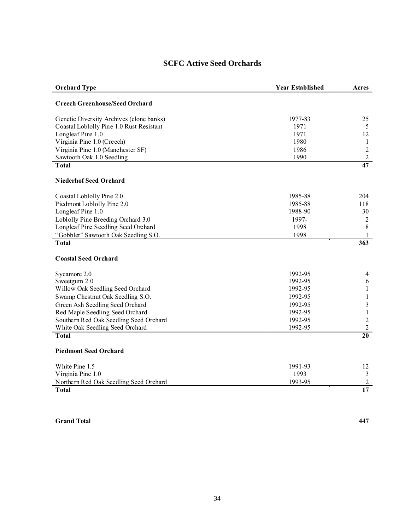| <b>Orchard Type</b>                      | <b>Year Established</b> | Acres            |
|------------------------------------------|-------------------------|------------------|
| <b>Creech Greenhouse/Seed Orchard</b>    |                         |                  |
| Genetic Diversity Archives (clone banks) | 1977-83                 | 25               |
| Coastal Loblolly Pine 1.0 Rust Resistant | 1971                    | 5                |
| Longleaf Pine 1.0                        | 1971                    | 12               |
| Virginia Pine 1.0 (Creech)               | 1980                    | $\mathbf{1}$     |
| Virginia Pine 1.0 (Manchester SF)        | 1986                    | $\sqrt{2}$       |
| Sawtooth Oak 1.0 Seedling                | 1990                    | $\boldsymbol{2}$ |
| <b>Total</b>                             |                         | $\overline{47}$  |
| <b>Niederhof Seed Orchard</b>            |                         |                  |
| Coastal Loblolly Pine 2.0                | 1985-88                 | 204              |
| Piedmont Loblolly Pine 2.0               | 1985-88                 | 118              |
| Longleaf Pine 1.0                        | 1988-90                 | 30               |
| Loblolly Pine Breeding Orchard 3.0       | 1997-                   | $\overline{c}$   |
| Longleaf Pine Seedling Seed Orchard      | 1998                    | $\,8\,$          |
| "Gobbler" Sawtooth Oak Seedling S.O.     | 1998                    | 1                |
| <b>Total</b>                             |                         | 363              |
| <b>Coastal Seed Orchard</b>              |                         |                  |
| Sycamore 2.0                             | 1992-95                 | 4                |
| Sweetgum 2.0                             | 1992-95                 | $\sqrt{6}$       |
| Willow Oak Seedling Seed Orchard         | 1992-95                 | $\mathbf{1}$     |
| Swamp Chestnut Oak Seedling S.O.         | 1992-95                 | $\mathbf{1}$     |
| Green Ash Seedling Seed Orchard          | 1992-95                 | $\mathfrak{Z}$   |
| Red Maple Seedling Seed Orchard          | 1992-95                 | $\mathbf{1}$     |
| Southern Red Oak Seedling Seed Orchard   | 1992-95                 | $\sqrt{2}$       |
| White Oak Seedling Seed Orchard          | 1992-95                 | $\overline{2}$   |
| <b>Total</b>                             |                         | $\overline{20}$  |
| <b>Piedmont Seed Orchard</b>             |                         |                  |
| White Pine 1.5                           | 1991-93                 | 12               |
| Virginia Pine 1.0                        | 1993                    | $\mathfrak{Z}$   |
| Northern Red Oak Seedling Seed Orchard   | 1993-95                 | $\overline{2}$   |
| <b>Total</b>                             |                         | 17               |

**Grand Total 447**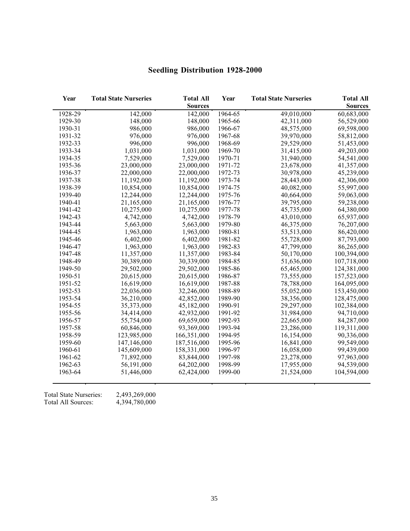| Year    | <b>Total State Nurseries</b> | <b>Total All</b><br><b>Sources</b> | Year    | <b>Total State Nurseries</b> | <b>Total All</b><br><b>Sources</b> |
|---------|------------------------------|------------------------------------|---------|------------------------------|------------------------------------|
| 1928-29 | 142,000                      | 142,000                            | 1964-65 | 49,010,000                   | 60,683,000                         |
| 1929-30 | 148,000                      | 148,000                            | 1965-66 | 42,311,000                   | 56,529,000                         |
| 1930-31 | 986,000                      | 986,000                            | 1966-67 | 48,575,000                   | 69,598,000                         |
| 1931-32 | 976,000                      | 976,000                            | 1967-68 | 39,970,000                   | 58,812,000                         |
| 1932-33 | 996,000                      | 996,000                            | 1968-69 | 29,529,000                   | 51,453,000                         |
| 1933-34 | 1,031,000                    | 1,031,000                          | 1969-70 | 31,415,000                   | 49,203,000                         |
| 1934-35 | 7,529,000                    | 7,529,000                          | 1970-71 | 31,940,000                   | 54,541,000                         |
| 1935-36 | 23,000,000                   | 23,000,000                         | 1971-72 | 23,678,000                   | 41,357,000                         |
| 1936-37 | 22,000,000                   | 22,000,000                         | 1972-73 | 30,978,000                   | 45,239,000                         |
| 1937-38 | 11,192,000                   | 11,192,000                         | 1973-74 | 28,443,000                   | 42,306,000                         |
| 1938-39 | 10,854,000                   | 10,854,000                         | 1974-75 | 40,082,000                   | 55,997,000                         |
| 1939-40 | 12,244,000                   | 12,244,000                         | 1975-76 | 40,664,000                   | 59,063,000                         |
| 1940-41 | 21,165,000                   | 21,165,000                         | 1976-77 | 39,795,000                   | 59,238,000                         |
| 1941-42 | 10,275,000                   | 10,275,000                         | 1977-78 | 45,735,000                   | 64,380,000                         |
| 1942-43 | 4,742,000                    | 4,742,000                          | 1978-79 | 43,010,000                   | 65,937,000                         |
| 1943-44 | 5,663,000                    | 5,663,000                          | 1979-80 | 46,375,000                   | 76,207,000                         |
| 1944-45 | 1,963,000                    | 1,963,000                          | 1980-81 | 53,513,000                   | 86,420,000                         |
| 1945-46 | 6,402,000                    | 6,402,000                          | 1981-82 | 55,728,000                   | 87,793,000                         |
| 1946-47 | 1,963,000                    | 1,963,000                          | 1982-83 | 47,799,000                   | 86,265,000                         |
| 1947-48 | 11,357,000                   | 11,357,000                         | 1983-84 | 50,170,000                   | 100,394,000                        |
| 1948-49 | 30,389,000                   | 30,339,000                         | 1984-85 | 51,636,000                   | 107,718,000                        |
| 1949-50 | 29,502,000                   | 29,502,000                         | 1985-86 | 65,465,000                   | 124,381,000                        |
| 1950-51 | 20,615,000                   | 20,615,000                         | 1986-87 | 73,555,000                   | 157,523,000                        |
| 1951-52 | 16,619,000                   | 16,619,000                         | 1987-88 | 78,788,000                   | 164,095,000                        |
| 1952-53 | 22,036,000                   | 32,246,000                         | 1988-89 | 55,052,000                   | 153,450,000                        |
| 1953-54 | 36,210,000                   | 42,852,000                         | 1989-90 | 38,356,000                   | 128,475,000                        |
| 1954-55 | 35,373,000                   | 45,182,000                         | 1990-91 | 29,297,000                   | 102,384,000                        |
| 1955-56 | 34,414,000                   | 42,932,000                         | 1991-92 | 31,984,000                   | 94,710,000                         |
| 1956-57 | 55,754,000                   | 69,659,000                         | 1992-93 | 22,665,000                   | 84,287,000                         |
| 1957-58 | 60,846,000                   | 93,369,000                         | 1993-94 | 23,286,000                   | 119,311,000                        |
| 1958-59 | 123,985,000                  | 166,351,000                        | 1994-95 | 16,154,000                   | 90,336,000                         |
| 1959-60 | 147,146,000                  | 187,516,000                        | 1995-96 | 16,841,000                   | 99,549,000                         |
| 1960-61 | 145,609,000                  | 158,331,000                        | 1996-97 | 16,058,000                   | 99,439,000                         |
| 1961-62 | 71,892,000                   | 83,844,000                         | 1997-98 | 23,278,000                   | 97,963,000                         |
| 1962-63 | 56,191,000                   | 64,202,000                         | 1998-99 | 17,955,000                   | 94,539,000                         |
| 1963-64 | 51,446,000                   | 62,424,000                         | 1999-00 | 21,524,000                   | 104,594,000                        |

# **Seedling Distribution 1928-2000**

Total State Nurseries: 2,493,269,000 Total All Sources: 4,394,780,000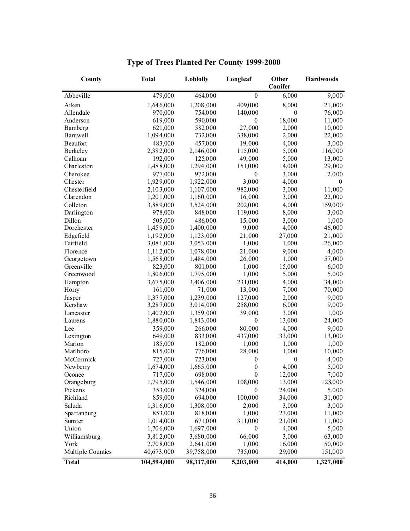| County            | <b>Total</b> | Loblolly   | Longleaf         | Other<br>Conifer | Hardwoods |
|-------------------|--------------|------------|------------------|------------------|-----------|
| Abbeville         | 479,000      | 464,000    | $\theta$         | 6,000            | 9,000     |
| Aiken             | 1,646,000    | 1,208,000  | 409,000          | 8,000            | 21,000    |
| Allendale         | 970,000      | 754,000    | 140,000          | $\theta$         | 76,000    |
| Anderson          | 619,000      | 590,000    | $\mathbf{0}$     | 18,000           | 11,000    |
| Bamberg           | 621,000      | 582,000    | 27,000           | 2,000            | 10,000    |
| <b>Barnwell</b>   | 1,094,000    | 732,000    | 338,000          | 2,000            | 22,000    |
| Beaufort          | 483,000      | 457,000    | 19,000           | 4,000            | 3,000     |
| Berkeley          | 2,382,000    | 2,146,000  | 115,000          | 5,000            | 116,000   |
| Calhoun           | 192,000      | 125,000    | 49,000           | 5,000            | 13,000    |
| Charleston        | 1,488,000    | 1,294,000  | 151,000          | 14,000           | 29,000    |
| Cherokee          | 977,000      | 972,000    | $\mathbf{0}$     | 3,000            | 2,000     |
| Chester           | 1,929,000    | 1,922,000  | 3,000            | 4,000            | $\theta$  |
| Chesterfield      | 2,103,000    | 1,107,000  | 982,000          | 3,000            | 11,000    |
| Clarendon         | 1,201,000    | 1,160,000  | 16,000           | 3,000            | 22,000    |
| Colleton          | 3,889,000    | 3,524,000  | 202,000          | 4,000            | 159,000   |
| Darlington        | 978,000      | 848,000    | 119,000          | 8,000            | 3,000     |
| Dillon            | 505,000      | 486,000    | 15,000           | 3,000            | 1,000     |
| Dorchester        | 1,459,000    | 1,400,000  | 9,000            | 4,000            | 46,000    |
| Edgefield         | 1,192,000    | 1,123,000  | 21,000           | 27,000           | 21,000    |
| Fairfield         | 3,081,000    | 3,053,000  | 1,000            | 1,000            | 26,000    |
| Florence          | 1,112,000    | 1,078,000  | 21,000           | 9,000            | 4,000     |
| Georgetown        | 1,568,000    | 1,484,000  | 26,000           | 1,000            | 57,000    |
| Greenville        | 823,000      | 801,000    | 1,000            | 15,000           | 6,000     |
| Greenwood         | 1,806,000    | 1,795,000  | 1,000            | 5,000            | 5,000     |
| Hampton           | 3,675,000    | 3,406,000  | 231,000          | 4,000            | 34,000    |
| Horry             | 161,000      | 71,000     | 13,000           | 7,000            | 70,000    |
| Jasper            | 1,377,000    | 1,239,000  | 127,000          | 2,000            | 9,000     |
| Kershaw           | 3,287,000    | 3,014,000  | 258,000          | 6,000            | 9,000     |
| Lancaster         | 1,402,000    | 1,359,000  | 39,000           | 3,000            | 1,000     |
| Laurens           | 1,880,000    | 1,843,000  | $\mathbf{0}$     | 13,000           | 24,000    |
| Lee               | 359,000      | 266,000    | 80,000           | 4,000            | 9,000     |
| Lexington         | 649,000      | 833,000    | 437,000          | 33,000           | 13,000    |
| Marion            | 185,000      | 182,000    | 1,000            | 1,000            | 1,000     |
| Marlboro          | 815,000      | 776,000    | 28,000           | 1,000            | 10,000    |
| McCormick         | 727,000      | 723,000    | $\boldsymbol{0}$ | $\mathbf{0}$     | 4,000     |
| Newberry          | 1,674,000    | 1,665,000  | $\boldsymbol{0}$ | 4,000            | 5,000     |
| Oconee            | 717,000      | 698,000    | $\theta$         | 12,000           | 7,000     |
| Orangeburg        | 1,795,000    | 1,546,000  | 108,000          | 13,000           | 128,000   |
| Pickens           | 353,000      | 324,000    | $\boldsymbol{0}$ | 24,000           | 5,000     |
| Richland          | 859,000      | 694,000    | 100,000          | 34,000           | 31,000    |
| Saluda            | 1,316,000    | 1,308,000  | 2,000            | 3,000            | 3,000     |
| Spartanburg       | 853,000      | 818,000    | 1,000            | 23,000           | 11,000    |
| Sumter            | 1,014,000    | 671,000    | 311,000          | 21,000           | 11,000    |
| Union             | 1,706,000    | 1,697,000  | $\boldsymbol{0}$ | 4,000            | 5,000     |
| Williamsburg      | 3,812,000    | 3,680,000  | 66,000           | 3,000            | 63,000    |
| York              | 2,708,000    | 2,641,000  | 1,000            | 16,000           | 50,000    |
| Multiple Counties | 40,673,000   | 39,758,000 | 735,000          | 29,000           | 151,000   |
| <b>Total</b>      | 104,594,000  | 98,317,000 | 5,203,000        | 414,000          | 1,327,000 |

# **Type of Trees Planted Per County 1999-2000**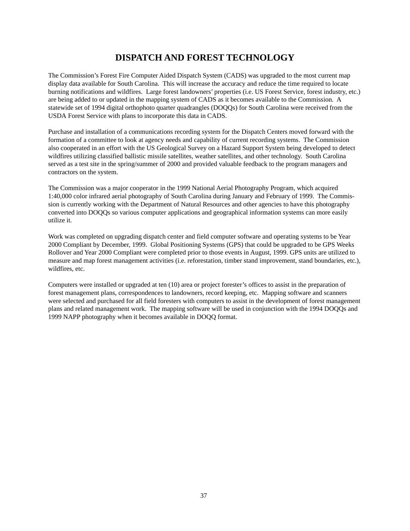# **DISPATCH AND FOREST TECHNOLOGY**

<span id="page-36-0"></span>The Commission's Forest Fire Computer Aided Dispatch System (CADS) was upgraded to the most current map display data available for South Carolina. This will increase the accuracy and reduce the time required to locate burning notifications and wildfires. Large forest landowners' properties (i.e. US Forest Service, forest industry, etc.) are being added to or updated in the mapping system of CADS as it becomes available to the Commission. A statewide set of 1994 digital orthophoto quarter quadrangles (DOQQs) for South Carolina were received from the USDA Forest Service with plans to incorporate this data in CADS.

Purchase and installation of a communications recording system for the Dispatch Centers moved forward with the formation of a committee to look at agency needs and capability of current recording systems. The Commission also cooperated in an effort with the US Geological Survey on a Hazard Support System being developed to detect wildfires utilizing classified ballistic missile satellites, weather satellites, and other technology. South Carolina served as a test site in the spring/summer of 2000 and provided valuable feedback to the program managers and contractors on the system.

The Commission was a major cooperator in the 1999 National Aerial Photography Program, which acquired 1:40,000 color infrared aerial photography of South Carolina during January and February of 1999. The Commission is currently working with the Department of Natural Resources and other agencies to have this photography converted into DOQQs so various computer applications and geographical information systems can more easily utilize it.

Work was completed on upgrading dispatch center and field computer software and operating systems to be Year 2000 Compliant by December, 1999. Global Positioning Systems (GPS) that could be upgraded to be GPS Weeks Rollover and Year 2000 Compliant were completed prior to those events in August, 1999. GPS units are utilized to measure and map forest management activities (i.e. reforestation, timber stand improvement, stand boundaries, etc.), wildfires, etc.

Computers were installed or upgraded at ten (10) area or project forester's offices to assist in the preparation of forest management plans, correspondences to landowners, record keeping, etc. Mapping software and scanners were selected and purchased for all field foresters with computers to assist in the development of forest management plans and related management work. The mapping software will be used in conjunction with the 1994 DOQQs and 1999 NAPP photography when it becomes available in DOQQ format.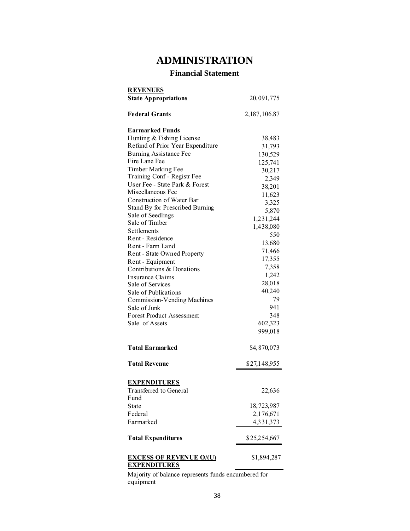# **ADMINISTRATION**

# **Financial Statement**

<span id="page-37-0"></span>

| <b>REVENUES</b>                                       |              |
|-------------------------------------------------------|--------------|
| <b>State Appropriations</b>                           | 20,091,775   |
|                                                       |              |
| <b>Federal Grants</b>                                 | 2,187,106.87 |
| <b>Earmarked Funds</b>                                |              |
| Hunting & Fishing License                             | 38,483       |
| Refund of Prior Year Expenditure                      | 31,793       |
| <b>Burning Assistance Fee</b>                         | 130,529      |
| Fire Lane Fee                                         | 125,741      |
| Timber Marking Fee                                    | 30,217       |
| Training Conf - Registr Fee                           | 2,349        |
| User Fee - State Park & Forest                        | 38,201       |
| Miscellaneous Fee                                     | 11,623       |
| Construction of Water Bar                             | 3,325        |
| Stand By for Prescribed Burning                       | 5,870        |
| Sale of Seedlings                                     |              |
| Sale of Timber                                        | 1,231,244    |
| <b>Settlements</b>                                    | 1,438,080    |
| Rent - Residence                                      | 550          |
| Rent - Farm Land                                      | 13,680       |
| Rent - State Owned Property                           | 71,466       |
| Rent - Equipment                                      | 17,355       |
| Contributions & Donations                             | 7,358        |
| Insurance Claims                                      | 1,242        |
| Sale of Services                                      | 28,018       |
| Sale of Publications                                  | 40,240       |
| Commission-Vending Machines                           | 79           |
| Sale of Junk                                          | 941          |
| <b>Forest Product Assessment</b>                      | 348          |
| Sale of Assets                                        | 602,323      |
|                                                       | 999,018      |
| <b>Total Earmarked</b>                                | \$4,870,073  |
|                                                       |              |
| <b>Total Revenue</b>                                  | \$27,148,955 |
|                                                       |              |
| <b>EXPENDITURES</b>                                   |              |
| <b>Transferred</b> to General                         | 22,636       |
| Fund                                                  |              |
| State<br>Federal                                      | 18,723,987   |
|                                                       | 2,176,671    |
| Earmarked                                             | 4,331,373    |
| <b>Total Expenditures</b>                             | \$25,254,667 |
| <b>EXCESS OF REVENUE O/(U)</b><br><b>EXPENDITURES</b> | \$1,894,287  |

Majority of balance represents funds encumbered for equipment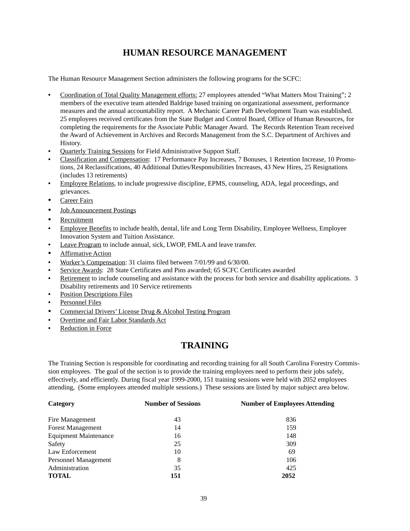# **HUMAN RESOURCE MANAGEMENT**

The Human Resource Management Section administers the following programs for the SCFC:

- Coordination of Total Quality Management efforts: 27 employees attended "What Matters Most Training"; 2 members of the executive team attended Baldrige based training on organizational assessment, performance measures and the annual accountability report. A Mechanic Career Path Development Team was established. 25 employees received certificates from the State Budget and Control Board, Office of Human Resources, for completing the requirements for the Associate Public Manager Award. The Records Retention Team received the Award of Achievement in Archives and Records Management from the S.C. Department of Archives and History.
- **Quarterly Training Sessions for Field Administrative Support Staff.**
- **•** Classification and Compensation: 17 Performance Pay Increases, 7 Bonuses, 1 Retention Increase, 10 Promotions, 24 Reclassifications, 40 Additional Duties/Responsibilities Increases, 43 New Hires, 25 Resignations (includes 13 retirements)
- Employee Relations, to include progressive discipline, EPMS, counseling, ADA, legal proceedings, and grievances.
- **Career Fairs**
- **Job Announcement Postings**
- **Recruitment**
- **Employee Benefits** to include health, dental, life and Long Term Disability, Employee Wellness, Employee Innovation System and Tuition Assistance.
- Leave Program to include annual, sick, LWOP, FMLA and leave transfer.
- **Affirmative Action**
- Worker's Compensation: 31 claims filed between 7/01/99 and 6/30/00.
- Service Awards: 28 State Certificates and Pins awarded; 65 SCFC Certificates awarded
- Retirement to include counseling and assistance with the process for both service and disability applications. 3 Disability retirements and 10 Service retirements
- **Position Descriptions Files**
- **Personnel Files**
- Commercial Drivers' License Drug & Alcohol Testing Program
- Overtime and Fair Labor Standards Act
- Reduction in Force

# **TRAINING**

The Training Section is responsible for coordinating and recording training for all South Carolina Forestry Commission employees. The goal of the section is to provide the training employees need to perform their jobs safely, effectively, and efficiently. During fiscal year 1999-2000, 151 training sessions were held with 2052 employees attending, (Some employees attended multiple sessions.) These sessions are listed by major subject area below.

| Category                     | <b>Number of Sessions</b> | <b>Number of Employees Attending</b> |
|------------------------------|---------------------------|--------------------------------------|
| Fire Management              | 43                        | 836                                  |
| <b>Forest Management</b>     | 14                        | 159                                  |
| <b>Equipment Maintenance</b> | 16                        | 148                                  |
| Safety                       | 25                        | 309                                  |
| Law Enforcement              | 10                        | 69                                   |
| Personnel Management         | 8                         | 106                                  |
| Administration               | 35                        | 425                                  |
| <b>TOTAL</b>                 | 151                       | 2052                                 |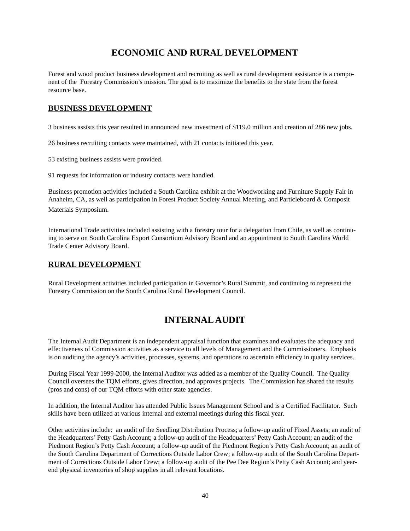# **ECONOMIC AND RURAL DEVELOPMENT**

<span id="page-39-0"></span>Forest and wood product business development and recruiting as well as rural development assistance is a component of the Forestry Commission's mission. The goal is to maximize the benefits to the state from the forest resource base.

# **BUSINESS DEVELOPMENT**

3 business assists this year resulted in announced new investment of \$119.0 million and creation of 286 new jobs.

26 business recruiting contacts were maintained, with 21 contacts initiated this year.

53 existing business assists were provided.

91 requests for information or industry contacts were handled.

Business promotion activities included a South Carolina exhibit at the Woodworking and Furniture Supply Fair in Anaheim, CA, as well as participation in Forest Product Society Annual Meeting, and Particleboard & Composit Materials Symposium.

International Trade activities included assisting with a forestry tour for a delegation from Chile, as well as continuing to serve on South Carolina Export Consortium Advisory Board and an appointment to South Carolina World Trade Center Advisory Board.

# **RURAL DEVELOPMENT**

Rural Development activities included participation in Governor's Rural Summit, and continuing to represent the Forestry Commission on the South Carolina Rural Development Council.

# **INTERNAL AUDIT**

The Internal Audit Department is an independent appraisal function that examines and evaluates the adequacy and effectiveness of Commission activities as a service to all levels of Management and the Commissioners. Emphasis is on auditing the agency's activities, processes, systems, and operations to ascertain efficiency in quality services.

During Fiscal Year 1999-2000, the Internal Auditor was added as a member of the Quality Council. The Quality Council oversees the TQM efforts, gives direction, and approves projects. The Commission has shared the results (pros and cons) of our TQM efforts with other state agencies.

In addition, the Internal Auditor has attended Public Issues Management School and is a Certified Facilitator. Such skills have been utilized at various internal and external meetings during this fiscal year.

Other activities include: an audit of the Seedling Distribution Process; a follow-up audit of Fixed Assets; an audit of the Headquarters' Petty Cash Account; a follow-up audit of the Headquarters' Petty Cash Account; an audit of the Piedmont Region's Petty Cash Account; a follow-up audit of the Piedmont Region's Petty Cash Account; an audit of the South Carolina Department of Corrections Outside Labor Crew; a follow-up audit of the South Carolina Department of Corrections Outside Labor Crew; a follow-up audit of the Pee Dee Region's Petty Cash Account; and yearend physical inventories of shop supplies in all relevant locations.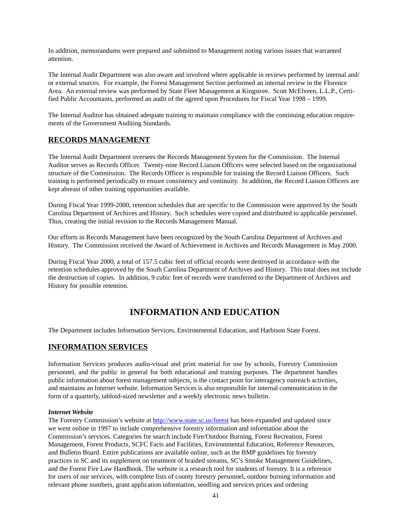<span id="page-40-0"></span>In addition, memorandums were prepared and submitted to Management noting various issues that warranted attention.

The Internal Audit Department was also aware and involved where applicable in reviews performed by internal and/ or external sources. For example, the Forest Management Section performed an internal review in the Florence Area. An external review was performed by State Fleet Management at Kingstree. Scott McElveen, L.L.P., Certified Public Accountants, performed an audit of the agreed upon Procedures for Fiscal Year 1998 – 1999.

The Internal Auditor has obtained adequate training to maintain compliance with the continuing education requirements of the Government Auditing Standards.

### **RECORDS MANAGEMENT**

The Internal Audit Department oversees the Records Management System for the Commission. The Internal Auditor serves as Records Officer. Twenty-nine Record Liaison Officers were selected based on the organizational structure of the Commission. The Records Officer is responsible for training the Record Liaison Officers. Such training is performed periodically to ensure consistency and continuity. In addition, the Record Liaison Officers are kept abreast of other training opportunities available.

During Fiscal Year 1999-2000, retention schedules that are specific to the Commission were approved by the South Carolina Department of Archives and History. Such schedules were copied and distributed to applicable personnel. Thus, creating the initial revision to the Records Management Manual.

Our efforts in Records Management have been recognized by the South Carolina Department of Archives and History. The Commission received the Award of Achievement in Archives and Records Management in May 2000.

During Fiscal Year 2000, a total of 157.5 cubic feet of official records were destroyed in accordance with the retention schedules approved by the South Carolina Department of Archives and History. This total does not include the destruction of copies. In addition, 9 cubic feet of records were transferred to the Department of Archives and History for possible retention.

# **INFORMATION AND EDUCATION**

The Department includes Information Services, Environmental Education, and Harbison State Forest.

# **INFORMATION SERVICES**

Information Services produces audio-visual and print material for use by schools, Forestry Commission personnel, and the public in general for both educational and training purposes. The department handles public information about forest management subjects, is the contact point for interagency outreach activities, and maintains an Internet website. Information Services is also responsible for internal communication in the form of a quarterly, tabloid-sized newsletter and a weekly electronic news bulletin.

#### *Internet Website*

The Forestry Commission's website at http://www.state.sc.us/forest has been expanded and updated since we went online in 1997 to include comprehensive forestry information and information about the Commission's services. Categories for search include Fire/Outdoor Burning, Forest Recreation, Forest Management, Forest Products, SCFC Facts and Facilities, Environmental Education, Reference Resources, and Bulletin Board. Entire publications are available online, such as the BMP guidelines for forestry practices in SC and its supplement on treatment of braided streams, SC's Smoke Management Guidelines, and the Forest Fire Law Handbook. The website is a research tool for students of forestry. It is a reference for users of our services, with complete lists of county forestry personnel, outdoor burning information and relevant phone numbers, grant application information, seedling and services prices and ordering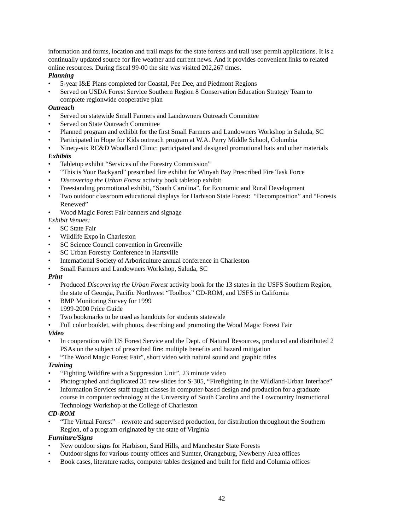information and forms, location and trail maps for the state forests and trail user permit applications. It is a continually updated source for fire weather and current news. And it provides convenient links to related online resources. During fiscal 99-00 the site was visited 202,267 times.

#### *Planning*

- 5-year I&E Plans completed for Coastal, Pee Dee, and Piedmont Regions
- Served on USDA Forest Service Southern Region 8 Conservation Education Strategy Team to complete regionwide cooperative plan

#### *Outreach*

- Served on statewide Small Farmers and Landowners Outreach Committee
- Served on State Outreach Committee
- Planned program and exhibit for the first Small Farmers and Landowners Workshop in Saluda, SC
- Participated in Hope for Kids outreach program at W.A. Perry Middle School, Columbia
- Ninety-six RC&D Woodland Clinic: participated and designed promotional hats and other materials

#### *Exhibits*

- Tabletop exhibit "Services of the Forestry Commission"
- "This is Your Backyard" prescribed fire exhibit for Winyah Bay Prescribed Fire Task Force
- Discovering the Urban Forest activity book tabletop exhibit
- Freestanding promotional exhibit, "South Carolina", for Economic and Rural Development
- Two outdoor classroom educational displays for Harbison State Forest: "Decomposition" and "Forests Renewed"
- Wood Magic Forest Fair banners and signage

#### *Exhibit Venues:*

- **SC** State Fair
- Wildlife Expo in Charleston
- SC Science Council convention in Greenville
- SC Urban Forestry Conference in Hartsville
- International Society of Arboriculture annual conference in Charleston
- Small Farmers and Landowners Workshop, Saluda, SC

#### *Print*

- Produced *Discovering the Urban Forest* activity book for the 13 states in the USFS Southern Region, the state of Georgia, Pacific Northwest "Toolbox" CD-ROM, and USFS in California
- **BMP** Monitoring Survey for 1999
- 1999-2000 Price Guide
- Two bookmarks to be used as handouts for students statewide
- Full color booklet, with photos, describing and promoting the Wood Magic Forest Fair

### *Video*

- In cooperation with US Forest Service and the Dept. of Natural Resources, produced and distributed 2 PSAs on the subject of prescribed fire: multiple benefits and hazard mitigation
- "The Wood Magic Forest Fair", short video with natural sound and graphic titles

#### *Training*

- "Fighting Wildfire with a Suppression Unit", 23 minute video
- Photographed and duplicated 35 new slides for S-305, "Firefighting in the Wildland-Urban Interface"
- Information Services staff taught classes in computer-based design and production for a graduate course in computer technology at the University of South Carolina and the Lowcountry Instructional Technology Workshop at the College of Charleston

#### *CD-ROM*

• "The Virtual Forest" – rewrote and supervised production, for distribution throughout the Southern Region, of a program originated by the state of Virginia

#### *Furniture/Signs*

- New outdoor signs for Harbison, Sand Hills, and Manchester State Forests
- Outdoor signs for various county offices and Sumter, Orangeburg, Newberry Area offices
- Book cases, literature racks, computer tables designed and built for field and Columia offices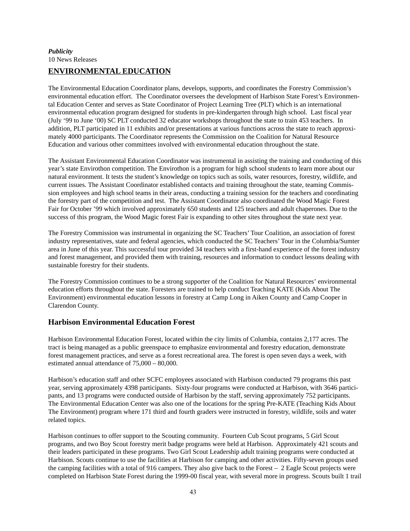### *Publicity*  10 News Releases

# **ENVIRONMENTAL EDUCATION**

The Environmental Education Coordinator plans, develops, supports, and coordinates the Forestry Commission's environmental education effort. The Coordinator oversees the development of Harbison State Forest's Environmental Education Center and serves as State Coordinator of Project Learning Tree (PLT) which is an international environmental education program designed for students in pre-kindergarten through high school. Last fiscal year (July '99 to June '00) SC PLT conducted 32 educator workshops throughout the state to train 453 teachers. In addition, PLT participated in 11 exhibits and/or presentations at various functions across the state to reach approximately 4000 participants. The Coordinator represents the Commission on the Coalition for Natural Resource Education and various other committees involved with environmental education throughout the state.

The Assistant Environmental Education Coordinator was instrumental in assisting the training and conducting of this year's state Envirothon competition. The Envirothon is a program for high school students to learn more about our natural environment. It tests the student's knowledge on topics such as soils, water resources, forestry, wildlife, and current issues. The Assistant Coordinator established contacts and training throughout the state, teaming Commission employees and high school teams in their areas, conducting a training session for the teachers and coordinating the forestry part of the competition and test. The Assistant Coordinator also coordinated the Wood Magic Forest Fair for October '99 which involved approximately 650 students and 125 teachers and adult chaperones. Due to the success of this program, the Wood Magic forest Fair is expanding to other sites throughout the state next year.

The Forestry Commission was instrumental in organizing the SC Teachers' Tour Coalition, an association of forest industry representatives, state and federal agencies, which conducted the SC Teachers' Tour in the Columbia/Sumter area in June of this year. This successful tour provided 34 teachers with a first-hand experience of the forest industry and forest management, and provided them with training, resources and information to conduct lessons dealing with sustainable forestry for their students.

The Forestry Commission continues to be a strong supporter of the Coalition for Natural Resources' environmental education efforts throughout the state. Foresters are trained to help conduct Teaching KATE (Kids About The Environment) environmental education lessons in forestry at Camp Long in Aiken County and Camp Cooper in Clarendon County.

# **Harbison Environmental Education Forest**

Harbison Environmental Education Forest, located within the city limits of Columbia, contains 2,177 acres. The tract is being managed as a public greenspace to emphasize environmental and forestry education, demonstrate forest management practices, and serve as a forest recreational area. The forest is open seven days a week, with estimated annual attendance of 75,000 – 80,000.

Harbison's education staff and other SCFC employees associated with Harbison conducted 79 programs this past year, serving approximately 4398 participants. Sixty-four programs were conducted at Harbison, with 3646 participants, and 13 programs were conducted outside of Harbison by the staff, serving approximately 752 participants. The Environmental Education Center was also one of the locations for the spring Pre-KATE (Teaching Kids About The Environment) program where 171 third and fourth graders were instructed in forestry, wildlife, soils and water related topics.

Harbison continues to offer support to the Scouting community. Fourteen Cub Scout programs, 5 Girl Scout programs, and two Boy Scout forestry merit badge programs were held at Harbison. Approximately 421 scouts and their leaders participated in these programs. Two Girl Scout Leadership adult training programs were conducted at Harbison. Scouts continue to use the facilities at Harbison for camping and other activities. Fifty-seven groups used the camping facilities with a total of 916 campers. They also give back to the Forest – 2 Eagle Scout projects were completed on Harbison State Forest during the 1999-00 fiscal year, with several more in progress. Scouts built 1 trail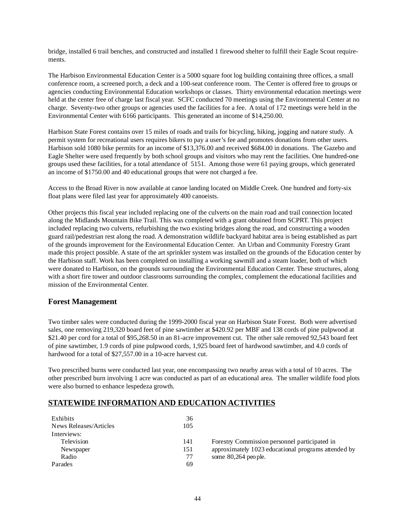bridge, installed 6 trail benches, and constructed and installed 1 firewood shelter to fulfill their Eagle Scout requirements.

The Harbison Environmental Education Center is a 5000 square foot log building containing three offices, a small conference room, a screened porch, a deck and a 100-seat conference room. The Center is offered free to groups or agencies conducting Environmental Education workshops or classes. Thirty environmental education meetings were held at the center free of charge last fiscal year. SCFC conducted 70 meetings using the Environmental Center at no charge. Seventy-two other groups or agencies used the facilities for a fee. A total of 172 meetings were held in the Environmental Center with 6166 participants. This generated an income of \$14,250.00.

Harbison State Forest contains over 15 miles of roads and trails for bicycling, hiking, jogging and nature study. A permit system for recreational users requires bikers to pay a user's fee and promotes donations from other users. Harbison sold 1080 bike permits for an income of \$13,376.00 and received \$684.00 in donations. The Gazebo and Eagle Shelter were used frequently by both school groups and visitors who may rent the facilities. One hundred-one groups used these facilities, for a total attendance of 5151. Among those were 61 paying groups, which generated an income of \$1750.00 and 40 educational groups that were not charged a fee.

Access to the Broad River is now available at canoe landing located on Middle Creek. One hundred and forty-six float plans were filed last year for approximately 400 canoeists.

Other projects this fiscal year included replacing one of the culverts on the main road and trail connection located along the Midlands Mountain Bike Trail. This was completed with a grant obtained from SCPRT. This project included replacing two culverts, refurbishing the two existing bridges along the road, and constructing a wooden guard rail/pedestrian rest along the road. A demonstration wildlife backyard habitat area is being established as part of the grounds improvement for the Environmental Education Center. An Urban and Community Forestry Grant made this project possible. A state of the art sprinkler system was installed on the grounds of the Education center by the Harbison staff. Work has been completed on installing a working sawmill and a steam loader, both of which were donated to Harbison, on the grounds surrounding the Environmental Education Center. These structures, along with a short fire tower and outdoor classrooms surrounding the complex, complement the educational facilities and mission of the Environmental Center.

### **Forest Management**

Two timber sales were conducted during the 1999-2000 fiscal year on Harbison State Forest. Both were advertised sales, one removing 219,320 board feet of pine sawtimber at \$420.92 per MBF and 138 cords of pine pulpwood at \$21.40 per cord for a total of \$95,268.50 in an 81-acre improvement cut. The other sale removed 92,543 board feet of pine sawtimber, 1.9 cords of pine pulpwood cords, 1,925 board feet of hardwood sawtimber, and 4.0 cords of hardwood for a total of \$27,557.00 in a 10-acre harvest cut.

Two prescribed burns were conducted last year, one encompassing two nearby areas with a total of 10 acres. The other prescribed burn involving 1 acre was conducted as part of an educational area. The smaller wildlife food plots were also burned to enhance lespedeza growth.

# **STATEWIDE INFORMATION AND EDUCATION ACTIVITIES**

| Exhibits               | 36  |                            |
|------------------------|-----|----------------------------|
| News Releases/Articles | 105 |                            |
| Interviews:            |     |                            |
| Television             | 141 | <b>Forestry Commission</b> |
| Newspaper              | 151 | approximately $1023$       |
| Radio                  | 77  | some $80,264$ peo ple.     |
| Parades                | 69  |                            |

mmission personnel participated in ly 1023 educational programs attended by